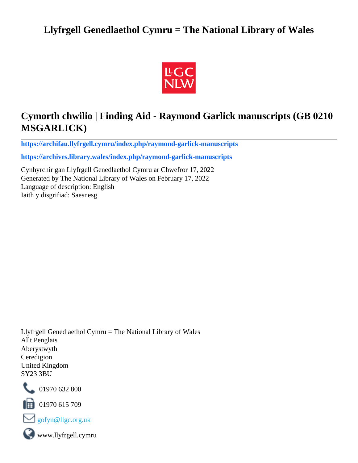# **Llyfrgell Genedlaethol Cymru = The National Library of Wales**



# **Cymorth chwilio | Finding Aid - Raymond Garlick manuscripts (GB 0210 MSGARLICK)**

**[https://archifau.llyfrgell.cymru/index.php/raymond-garlick-manuscripts](https://archifau.llyfrgell.cymru/index.php/raymond-garlick-manuscripts;isad?sf_culture=cy)**

**[https://archives.library.wales/index.php/raymond-garlick-manuscripts](https://archives.library.wales/index.php/raymond-garlick-manuscripts;isad?sf_culture=en)**

Cynhyrchir gan Llyfrgell Genedlaethol Cymru ar Chwefror 17, 2022 Generated by The National Library of Wales on February 17, 2022 Language of description: English Iaith y disgrifiad: Saesnesg

Llyfrgell Genedlaethol Cymru = The National Library of Wales Allt Penglais Aberystwyth Ceredigion United Kingdom SY23 3BU



101970 632 800

 $\blacksquare$  01970 615 709



www.llyfrgell.cymru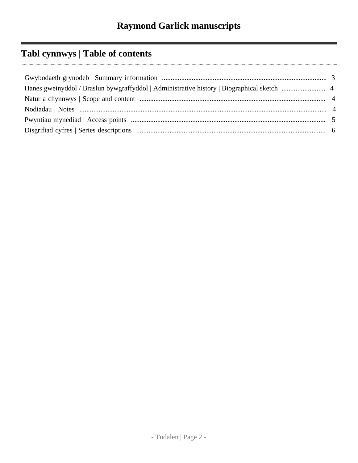# **Tabl cynnwys | Table of contents**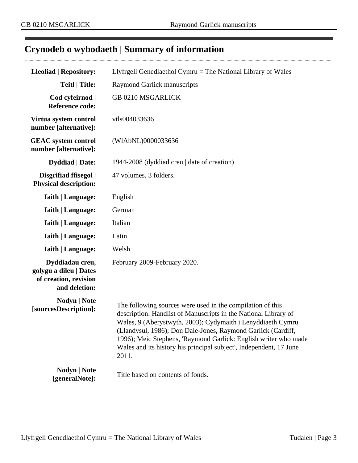# <span id="page-2-0"></span>**Crynodeb o wybodaeth | Summary of information**

| <b>Lleoliad   Repository:</b>                                                       | Llyfrgell Genedlaethol Cymru $=$ The National Library of Wales                                                                                                                                                                                                                                                                                                                                                 |  |  |
|-------------------------------------------------------------------------------------|----------------------------------------------------------------------------------------------------------------------------------------------------------------------------------------------------------------------------------------------------------------------------------------------------------------------------------------------------------------------------------------------------------------|--|--|
| <b>Teitl   Title:</b>                                                               | <b>Raymond Garlick manuscripts</b>                                                                                                                                                                                                                                                                                                                                                                             |  |  |
| Cod cyfeirnod  <br><b>Reference code:</b>                                           | <b>GB 0210 MSGARLICK</b>                                                                                                                                                                                                                                                                                                                                                                                       |  |  |
| Virtua system control<br>number [alternative]:                                      | vtls004033636                                                                                                                                                                                                                                                                                                                                                                                                  |  |  |
| <b>GEAC</b> system control<br>number [alternative]:                                 | (WIAbNL)0000033636                                                                                                                                                                                                                                                                                                                                                                                             |  |  |
| <b>Dyddiad</b>   Date:                                                              | 1944-2008 (dyddiad creu   date of creation)                                                                                                                                                                                                                                                                                                                                                                    |  |  |
| Disgrifiad ffisegol  <br><b>Physical description:</b>                               | 47 volumes, 3 folders.                                                                                                                                                                                                                                                                                                                                                                                         |  |  |
| <b>Iaith   Language:</b>                                                            | English                                                                                                                                                                                                                                                                                                                                                                                                        |  |  |
| <b>Iaith   Language:</b>                                                            | German                                                                                                                                                                                                                                                                                                                                                                                                         |  |  |
| <b>Iaith   Language:</b>                                                            | Italian                                                                                                                                                                                                                                                                                                                                                                                                        |  |  |
| <b>Iaith   Language:</b>                                                            | Latin                                                                                                                                                                                                                                                                                                                                                                                                          |  |  |
| <b>Iaith   Language:</b>                                                            | Welsh                                                                                                                                                                                                                                                                                                                                                                                                          |  |  |
| Dyddiadau creu,<br>golygu a dileu   Dates<br>of creation, revision<br>and deletion: | February 2009-February 2020.                                                                                                                                                                                                                                                                                                                                                                                   |  |  |
| Nodyn   Note<br>[sourcesDescription]:                                               | The following sources were used in the compilation of this<br>description: Handlist of Manuscripts in the National Library of<br>Wales, 9 (Aberystwyth, 2003); Cydymaith i Lenyddiaeth Cymru<br>(Llandysul, 1986); Don Dale-Jones, Raymond Garlick (Cardiff,<br>1996); Meic Stephens, 'Raymond Garlick: English writer who made<br>Wales and its history his principal subject', Independent, 17 June<br>2011. |  |  |
| Nodyn   Note<br>[generalNote]:                                                      | Title based on contents of fonds.                                                                                                                                                                                                                                                                                                                                                                              |  |  |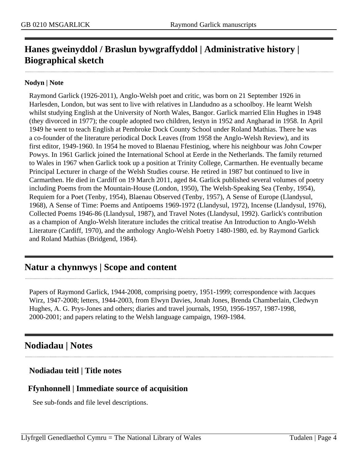# <span id="page-3-0"></span>**Hanes gweinyddol / Braslun bywgraffyddol | Administrative history | Biographical sketch**

#### **Nodyn | Note**

Raymond Garlick (1926-2011), Anglo-Welsh poet and critic, was born on 21 September 1926 in Harlesden, London, but was sent to live with relatives in Llandudno as a schoolboy. He learnt Welsh whilst studying English at the University of North Wales, Bangor. Garlick married Elin Hughes in 1948 (they divorced in 1977); the couple adopted two children, Iestyn in 1952 and Angharad in 1958. In April 1949 he went to teach English at Pembroke Dock County School under Roland Mathias. There he was a co-founder of the literature periodical Dock Leaves (from 1958 the Anglo-Welsh Review), and its first editor, 1949-1960. In 1954 he moved to Blaenau Ffestiniog, where his neighbour was John Cowper Powys. In 1961 Garlick joined the International School at Eerde in the Netherlands. The family returned to Wales in 1967 when Garlick took up a position at Trinity College, Carmarthen. He eventually became Principal Lecturer in charge of the Welsh Studies course. He retired in 1987 but continued to live in Carmarthen. He died in Cardiff on 19 March 2011, aged 84. Garlick published several volumes of poetry including Poems from the Mountain-House (London, 1950), The Welsh-Speaking Sea (Tenby, 1954), Requiem for a Poet (Tenby, 1954), Blaenau Observed (Tenby, 1957), A Sense of Europe (Llandysul, 1968), A Sense of Time: Poems and Antipoems 1969-1972 (Llandysul, 1972), Incense (Llandysul, 1976), Collected Poems 1946-86 (Llandysul, 1987), and Travel Notes (Llandysul, 1992). Garlick's contribution as a champion of Anglo-Welsh literature includes the critical treatise An Introduction to Anglo-Welsh Literature (Cardiff, 1970), and the anthology Anglo-Welsh Poetry 1480-1980, ed. by Raymond Garlick and Roland Mathias (Bridgend, 1984).

## <span id="page-3-1"></span>**Natur a chynnwys | Scope and content**

Papers of Raymond Garlick, 1944-2008, comprising poetry, 1951-1999; correspondence with Jacques Wirz, 1947-2008; letters, 1944-2003, from Elwyn Davies, Jonah Jones, Brenda Chamberlain, Cledwyn Hughes, A. G. Prys-Jones and others; diaries and travel journals, 1950, 1956-1957, 1987-1998, 2000-2001; and papers relating to the Welsh language campaign, 1969-1984.

## <span id="page-3-2"></span>**Nodiadau | Notes**

### **Nodiadau teitl | Title notes**

## **Ffynhonnell | Immediate source of acquisition**

See sub-fonds and file level descriptions.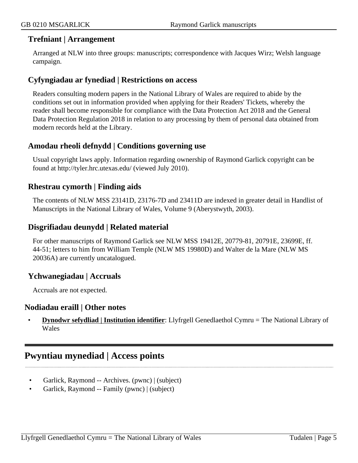#### **Trefniant | Arrangement**

Arranged at NLW into three groups: manuscripts; correspondence with Jacques Wirz; Welsh language campaign.

### **Cyfyngiadau ar fynediad | Restrictions on access**

Readers consulting modern papers in the National Library of Wales are required to abide by the conditions set out in information provided when applying for their Readers' Tickets, whereby the reader shall become responsible for compliance with the Data Protection Act 2018 and the General Data Protection Regulation 2018 in relation to any processing by them of personal data obtained from modern records held at the Library.

## **Amodau rheoli defnydd | Conditions governing use**

Usual copyright laws apply. Information regarding ownership of Raymond Garlick copyright can be found at http://tyler.hrc.utexas.edu/ (viewed July 2010).

#### **Rhestrau cymorth | Finding aids**

The contents of NLW MSS 23141D, 23176-7D and 23411D are indexed in greater detail in Handlist of Manuscripts in the National Library of Wales, Volume 9 (Aberystwyth, 2003).

#### **Disgrifiadau deunydd | Related material**

For other manuscripts of Raymond Garlick see NLW MSS 19412E, 20779-81, 20791E, 23699E, ff. 44-51; letters to him from William Temple (NLW MS 19980D) and Walter de la Mare (NLW MS 20036A) are currently uncatalogued.

### **Ychwanegiadau | Accruals**

Accruals are not expected.

#### **Nodiadau eraill | Other notes**

• **Dynodwr sefydliad | Institution identifier**: Llyfrgell Genedlaethol Cymru = The National Library of Wales

## <span id="page-4-0"></span>**Pwyntiau mynediad | Access points**

- Garlick, Raymond -- Archives. (pwnc) | (subject)
- Garlick, Raymond -- Family (pwnc) | (subject)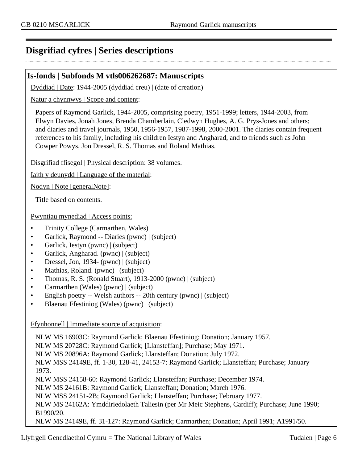# <span id="page-5-0"></span>**Disgrifiad cyfres | Series descriptions**

#### **Is-fonds | Subfonds M vtls006262687: Manuscripts**

Dyddiad | Date: 1944-2005 (dyddiad creu) | (date of creation)

Natur a chynnwys | Scope and content:

Papers of Raymond Garlick, 1944-2005, comprising poetry, 1951-1999; letters, 1944-2003, from Elwyn Davies, Jonah Jones, Brenda Chamberlain, Cledwyn Hughes, A. G. Prys-Jones and others; and diaries and travel journals, 1950, 1956-1957, 1987-1998, 2000-2001. The diaries contain frequent references to his family, including his children Iestyn and Angharad, and to friends such as John Cowper Powys, Jon Dressel, R. S. Thomas and Roland Mathias.

Disgrifiad ffisegol | Physical description: 38 volumes.

Iaith y deunydd | Language of the material:

Nodyn | Note [generalNote]:

Title based on contents.

Pwyntiau mynediad | Access points:

- Trinity College (Carmarthen, Wales)
- Garlick, Raymond -- Diaries (pwnc) | (subject)
- Garlick, Iestyn (pwnc) | (subject)
- Garlick, Angharad. (pwnc) | (subject)
- Dressel, Jon, 1934- (pwnc) | (subject)
- Mathias, Roland. (pwnc) | (subject)
- Thomas, R. S. (Ronald Stuart), 1913-2000 (pwnc) | (subject)
- Carmarthen (Wales) (pwnc) | (subject)
- English poetry -- Welsh authors -- 20th century (pwnc) | (subject)
- Blaenau Ffestiniog (Wales) (pwnc) | (subject)

#### Ffynhonnell | Immediate source of acquisition:

NLW MS 16903C: Raymond Garlick; Blaenau Ffestiniog; Donation; January 1957. NLW MS 20728C: Raymond Garlick; [Llansteffan]; Purchase; May 1971. NLW MS 20896A: Raymond Garlick; Llansteffan; Donation; July 1972. NLW MSS 24149E, ff. 1-30, 128-41, 24153-7: Raymond Garlick; Llansteffan; Purchase; January 1973. NLW MSS 24158-60: Raymond Garlick; Llansteffan; Purchase; December 1974. NLW MS 24161B: Raymond Garlick; Llansteffan; Donation; March 1976. NLW MSS 24151-2B; Raymond Garlick; Llansteffan; Purchase; February 1977. NLW MS 24162A: Ymddiriedolaeth Taliesin (per Mr Meic Stephens, Cardiff); Purchase; June 1990; B1990/20. NLW MS 24149E, ff. 31-127: Raymond Garlick; Carmarthen; Donation; April 1991; A1991/50.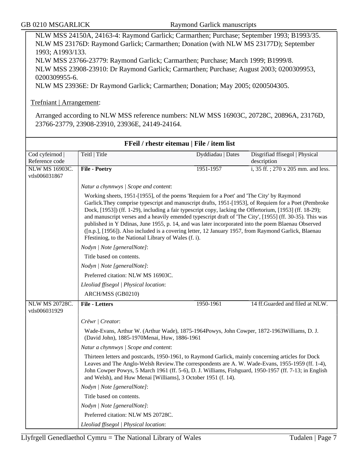#### Trefniant | Arrangement:

Arranged according to NLW MSS reference numbers: NLW MSS 16903C, 20728C, 20896A, 23176D, 23766-23779, 23908-23910, 23936E, 24149-24164.

| FFeil / rhestr eitemau   File / item list |                                                                                                                                                                                                                                                                                                                                                                                                                                                                                                                                                                                                                                                                                                 |                   |                                               |  |
|-------------------------------------------|-------------------------------------------------------------------------------------------------------------------------------------------------------------------------------------------------------------------------------------------------------------------------------------------------------------------------------------------------------------------------------------------------------------------------------------------------------------------------------------------------------------------------------------------------------------------------------------------------------------------------------------------------------------------------------------------------|-------------------|-----------------------------------------------|--|
| Cod cyfeirnod  <br>Reference code         | Teitl   Title                                                                                                                                                                                                                                                                                                                                                                                                                                                                                                                                                                                                                                                                                   | Dyddiadau   Dates | Disgrifiad ffisegol   Physical<br>description |  |
| <b>NLW MS 16903C.</b><br>vtls006031867    | <b>File - Poetry</b>                                                                                                                                                                                                                                                                                                                                                                                                                                                                                                                                                                                                                                                                            | 1951-1957         | i, 35 ff.; 270 x 205 mm. and less.            |  |
|                                           | Natur a chynnwys / Scope and content:                                                                                                                                                                                                                                                                                                                                                                                                                                                                                                                                                                                                                                                           |                   |                                               |  |
|                                           | Working sheets, 1951-[1955], of the poems 'Requiem for a Poet' and 'The City' by Raymond<br>Garlick. They comprise typescript and manuscript drafts, 1951-[1953], of Requiem for a Poet (Pembroke<br>Dock, [1953]) (ff. 1-29), including a fair typescript copy, lacking the Offertorium, [1953] (ff. 18-29);<br>and manuscript verses and a heavily emended typescript draft of 'The City', [1955] (ff. 30-35). This was<br>published in Y Ddinas, June 1955, p. 14, and was later incorporated into the poem Blaenau Observed<br>([n.p.], [1956]). Also included is a covering letter, 12 January 1957, from Raymond Garlick, Blaenau<br>Ffestiniog, to the National Library of Wales (f. i). |                   |                                               |  |
|                                           | Nodyn   Note [generalNote]:                                                                                                                                                                                                                                                                                                                                                                                                                                                                                                                                                                                                                                                                     |                   |                                               |  |
|                                           | Title based on contents.                                                                                                                                                                                                                                                                                                                                                                                                                                                                                                                                                                                                                                                                        |                   |                                               |  |
|                                           | Nodyn   Note [generalNote]:                                                                                                                                                                                                                                                                                                                                                                                                                                                                                                                                                                                                                                                                     |                   |                                               |  |
|                                           | Preferred citation: NLW MS 16903C.                                                                                                                                                                                                                                                                                                                                                                                                                                                                                                                                                                                                                                                              |                   |                                               |  |
|                                           | Lleoliad ffisegol   Physical location:                                                                                                                                                                                                                                                                                                                                                                                                                                                                                                                                                                                                                                                          |                   |                                               |  |
|                                           | ARCH/MSS (GB0210)                                                                                                                                                                                                                                                                                                                                                                                                                                                                                                                                                                                                                                                                               |                   |                                               |  |
| <b>NLW MS 20728C.</b>                     | <b>File - Letters</b>                                                                                                                                                                                                                                                                                                                                                                                                                                                                                                                                                                                                                                                                           | 1950-1961         | 14 ff.Guarded and filed at NLW.               |  |
| vtls006031929                             |                                                                                                                                                                                                                                                                                                                                                                                                                                                                                                                                                                                                                                                                                                 |                   |                                               |  |
|                                           | Crëwr   Creator:                                                                                                                                                                                                                                                                                                                                                                                                                                                                                                                                                                                                                                                                                |                   |                                               |  |
|                                           | Wade-Evans, Arthur W. (Arthur Wade), 1875-1964Powys, John Cowper, 1872-1963 Williams, D. J.<br>(David John), 1885-1970Menai, Huw, 1886-1961<br>Natur a chynnwys / Scope and content:                                                                                                                                                                                                                                                                                                                                                                                                                                                                                                            |                   |                                               |  |
|                                           |                                                                                                                                                                                                                                                                                                                                                                                                                                                                                                                                                                                                                                                                                                 |                   |                                               |  |
|                                           | Thirteen letters and postcards, 1950-1961, to Raymond Garlick, mainly concerning articles for Dock<br>Leaves and The Anglo-Welsh Review. The correspondents are A. W. Wade-Evans, 1955-1959 (ff. 1-4),<br>John Cowper Powys, 5 March 1961 (ff. 5-6), D. J. Williams, Fishguard, 1950-1957 (ff. 7-13; in English<br>and Welsh), and Huw Menai [Williams], 3 October 1951 (f. 14).                                                                                                                                                                                                                                                                                                                |                   |                                               |  |
|                                           | Nodyn   Note [generalNote]:                                                                                                                                                                                                                                                                                                                                                                                                                                                                                                                                                                                                                                                                     |                   |                                               |  |
|                                           | Title based on contents.                                                                                                                                                                                                                                                                                                                                                                                                                                                                                                                                                                                                                                                                        |                   |                                               |  |
|                                           | Nodyn   Note [generalNote]:                                                                                                                                                                                                                                                                                                                                                                                                                                                                                                                                                                                                                                                                     |                   |                                               |  |
|                                           | Preferred citation: NLW MS 20728C.                                                                                                                                                                                                                                                                                                                                                                                                                                                                                                                                                                                                                                                              |                   |                                               |  |
|                                           | Lleoliad ffisegol   Physical location:                                                                                                                                                                                                                                                                                                                                                                                                                                                                                                                                                                                                                                                          |                   |                                               |  |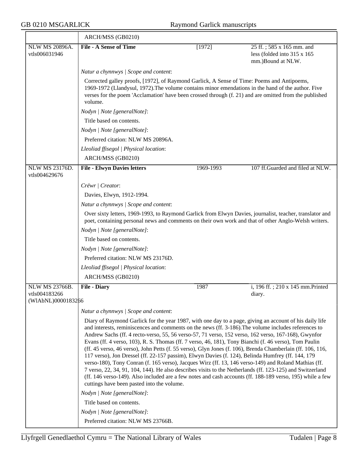$\overline{\phantom{a}}$ 

|                                        | ARCH/MSS (GB0210)                                                                                                                                                                                                                                                                                                                                                                                                                                                                                                                                                                                                                                                                                                                                                                                                                                                                                                                                                                                                                  |           |                                                                               |  |
|----------------------------------------|------------------------------------------------------------------------------------------------------------------------------------------------------------------------------------------------------------------------------------------------------------------------------------------------------------------------------------------------------------------------------------------------------------------------------------------------------------------------------------------------------------------------------------------------------------------------------------------------------------------------------------------------------------------------------------------------------------------------------------------------------------------------------------------------------------------------------------------------------------------------------------------------------------------------------------------------------------------------------------------------------------------------------------|-----------|-------------------------------------------------------------------------------|--|
| NLW MS 20896A.<br>vtls006031946        | <b>File - A Sense of Time</b>                                                                                                                                                                                                                                                                                                                                                                                                                                                                                                                                                                                                                                                                                                                                                                                                                                                                                                                                                                                                      | [1972]    | 25 ff.; 585 x 165 mm. and<br>less (folded into 315 x 165<br>mm.)Bound at NLW. |  |
|                                        | Natur a chynnwys / Scope and content:                                                                                                                                                                                                                                                                                                                                                                                                                                                                                                                                                                                                                                                                                                                                                                                                                                                                                                                                                                                              |           |                                                                               |  |
|                                        | Corrected galley proofs, [1972], of Raymond Garlick, A Sense of Time: Poems and Antipoems,<br>1969-1972 (Llandysul, 1972). The volume contains minor emendations in the hand of the author. Five<br>verses for the poem 'Acclamation' have been crossed through (f. 21) and are omitted from the published<br>volume.                                                                                                                                                                                                                                                                                                                                                                                                                                                                                                                                                                                                                                                                                                              |           |                                                                               |  |
|                                        | Nodyn   Note [generalNote]:                                                                                                                                                                                                                                                                                                                                                                                                                                                                                                                                                                                                                                                                                                                                                                                                                                                                                                                                                                                                        |           |                                                                               |  |
|                                        | Title based on contents.                                                                                                                                                                                                                                                                                                                                                                                                                                                                                                                                                                                                                                                                                                                                                                                                                                                                                                                                                                                                           |           |                                                                               |  |
|                                        | Nodyn   Note [generalNote]:                                                                                                                                                                                                                                                                                                                                                                                                                                                                                                                                                                                                                                                                                                                                                                                                                                                                                                                                                                                                        |           |                                                                               |  |
|                                        | Preferred citation: NLW MS 20896A.                                                                                                                                                                                                                                                                                                                                                                                                                                                                                                                                                                                                                                                                                                                                                                                                                                                                                                                                                                                                 |           |                                                                               |  |
|                                        | Lleoliad ffisegol   Physical location:                                                                                                                                                                                                                                                                                                                                                                                                                                                                                                                                                                                                                                                                                                                                                                                                                                                                                                                                                                                             |           |                                                                               |  |
|                                        | ARCH/MSS (GB0210)                                                                                                                                                                                                                                                                                                                                                                                                                                                                                                                                                                                                                                                                                                                                                                                                                                                                                                                                                                                                                  |           |                                                                               |  |
| <b>NLW MS 23176D.</b><br>vtls004629676 | <b>File - Elwyn Davies letters</b>                                                                                                                                                                                                                                                                                                                                                                                                                                                                                                                                                                                                                                                                                                                                                                                                                                                                                                                                                                                                 | 1969-1993 | 107 ff.Guarded and filed at NLW.                                              |  |
|                                        | Crëwr   Creator:                                                                                                                                                                                                                                                                                                                                                                                                                                                                                                                                                                                                                                                                                                                                                                                                                                                                                                                                                                                                                   |           |                                                                               |  |
|                                        | Davies, Elwyn, 1912-1994.                                                                                                                                                                                                                                                                                                                                                                                                                                                                                                                                                                                                                                                                                                                                                                                                                                                                                                                                                                                                          |           |                                                                               |  |
|                                        | Natur a chynnwys / Scope and content:                                                                                                                                                                                                                                                                                                                                                                                                                                                                                                                                                                                                                                                                                                                                                                                                                                                                                                                                                                                              |           |                                                                               |  |
|                                        | Over sixty letters, 1969-1993, to Raymond Garlick from Elwyn Davies, journalist, teacher, translator and<br>poet, containing personal news and comments on their own work and that of other Anglo-Welsh writers.                                                                                                                                                                                                                                                                                                                                                                                                                                                                                                                                                                                                                                                                                                                                                                                                                   |           |                                                                               |  |
|                                        | Nodyn   Note [generalNote]:                                                                                                                                                                                                                                                                                                                                                                                                                                                                                                                                                                                                                                                                                                                                                                                                                                                                                                                                                                                                        |           |                                                                               |  |
|                                        | Title based on contents.                                                                                                                                                                                                                                                                                                                                                                                                                                                                                                                                                                                                                                                                                                                                                                                                                                                                                                                                                                                                           |           |                                                                               |  |
|                                        | Nodyn   Note [generalNote]:                                                                                                                                                                                                                                                                                                                                                                                                                                                                                                                                                                                                                                                                                                                                                                                                                                                                                                                                                                                                        |           |                                                                               |  |
|                                        | Preferred citation: NLW MS 23176D.                                                                                                                                                                                                                                                                                                                                                                                                                                                                                                                                                                                                                                                                                                                                                                                                                                                                                                                                                                                                 |           |                                                                               |  |
|                                        | Lleoliad ffisegol   Physical location:                                                                                                                                                                                                                                                                                                                                                                                                                                                                                                                                                                                                                                                                                                                                                                                                                                                                                                                                                                                             |           |                                                                               |  |
|                                        | ARCH/MSS (GB0210)                                                                                                                                                                                                                                                                                                                                                                                                                                                                                                                                                                                                                                                                                                                                                                                                                                                                                                                                                                                                                  |           |                                                                               |  |
| NLW MS 23766B.                         | <b>File - Diary</b>                                                                                                                                                                                                                                                                                                                                                                                                                                                                                                                                                                                                                                                                                                                                                                                                                                                                                                                                                                                                                | 1987      | i, 196 ff.; 210 x 145 mm.Printed                                              |  |
| vtls004183266                          |                                                                                                                                                                                                                                                                                                                                                                                                                                                                                                                                                                                                                                                                                                                                                                                                                                                                                                                                                                                                                                    |           | diary.                                                                        |  |
| (WIAbNL)0000183266                     |                                                                                                                                                                                                                                                                                                                                                                                                                                                                                                                                                                                                                                                                                                                                                                                                                                                                                                                                                                                                                                    |           |                                                                               |  |
|                                        | Natur a chynnwys / Scope and content:                                                                                                                                                                                                                                                                                                                                                                                                                                                                                                                                                                                                                                                                                                                                                                                                                                                                                                                                                                                              |           |                                                                               |  |
|                                        | Diary of Raymond Garlick for the year 1987, with one day to a page, giving an account of his daily life<br>and interests, reminiscences and comments on the news (ff. 3-186). The volume includes references to<br>Andrew Sachs (ff. 4 recto-verso, 55, 56 verso-57, 71 verso, 152 verso, 162 verso, 167-168), Gwynfor<br>Evans (ff. 4 verso, 103), R. S. Thomas (ff. 7 verso, 46, 181), Tony Bianchi (f. 46 verso), Tom Paulin<br>(ff. 45 verso, 46 verso), John Petts (f. 55 verso), Glyn Jones (f. 106), Brenda Chamberlain (ff. 106, 116,<br>117 verso), Jon Dressel (ff. 22-157 passim), Elwyn Davies (f. 124), Belinda Humfrey (ff. 144, 179<br>verso-180), Tony Conran (f. 165 verso), Jacques Wirz (ff. 13, 146 verso-149) and Roland Mathias (ff.<br>7 verso, 22, 34, 91, 104, 144). He also describes visits to the Netherlands (ff. 123-125) and Switzerland<br>(ff. 146 verso-149). Also included are a few notes and cash accounts (ff. 188-189 verso, 195) while a few<br>cuttings have been pasted into the volume. |           |                                                                               |  |
|                                        | Nodyn   Note [generalNote]:                                                                                                                                                                                                                                                                                                                                                                                                                                                                                                                                                                                                                                                                                                                                                                                                                                                                                                                                                                                                        |           |                                                                               |  |
|                                        | Title based on contents.                                                                                                                                                                                                                                                                                                                                                                                                                                                                                                                                                                                                                                                                                                                                                                                                                                                                                                                                                                                                           |           |                                                                               |  |
|                                        | Nodyn   Note [generalNote]:                                                                                                                                                                                                                                                                                                                                                                                                                                                                                                                                                                                                                                                                                                                                                                                                                                                                                                                                                                                                        |           |                                                                               |  |
|                                        | Preferred citation: NLW MS 23766B.                                                                                                                                                                                                                                                                                                                                                                                                                                                                                                                                                                                                                                                                                                                                                                                                                                                                                                                                                                                                 |           |                                                                               |  |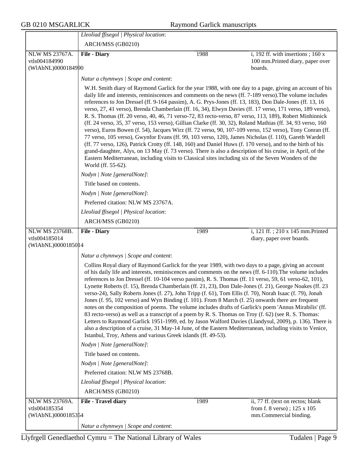|                                                       | Lleoliad ffisegol   Physical location:                                                                                                                                                                                                                                                                                                                                                                                                                                                                                                                                                                                                                                                                                                                                                                                                                                                                                                                                                                                                                                                                                                                                                                                                               |      |                                                                                            |  |  |
|-------------------------------------------------------|------------------------------------------------------------------------------------------------------------------------------------------------------------------------------------------------------------------------------------------------------------------------------------------------------------------------------------------------------------------------------------------------------------------------------------------------------------------------------------------------------------------------------------------------------------------------------------------------------------------------------------------------------------------------------------------------------------------------------------------------------------------------------------------------------------------------------------------------------------------------------------------------------------------------------------------------------------------------------------------------------------------------------------------------------------------------------------------------------------------------------------------------------------------------------------------------------------------------------------------------------|------|--------------------------------------------------------------------------------------------|--|--|
|                                                       | ARCH/MSS (GB0210)                                                                                                                                                                                                                                                                                                                                                                                                                                                                                                                                                                                                                                                                                                                                                                                                                                                                                                                                                                                                                                                                                                                                                                                                                                    |      |                                                                                            |  |  |
| NLW MS 23767A.                                        | <b>File - Diary</b>                                                                                                                                                                                                                                                                                                                                                                                                                                                                                                                                                                                                                                                                                                                                                                                                                                                                                                                                                                                                                                                                                                                                                                                                                                  | 1988 | i, 192 ff. with insertions; $160x$                                                         |  |  |
| vtls004184990                                         |                                                                                                                                                                                                                                                                                                                                                                                                                                                                                                                                                                                                                                                                                                                                                                                                                                                                                                                                                                                                                                                                                                                                                                                                                                                      |      | 100 mm.Printed diary, paper over                                                           |  |  |
| (WIAbNL)0000184990                                    |                                                                                                                                                                                                                                                                                                                                                                                                                                                                                                                                                                                                                                                                                                                                                                                                                                                                                                                                                                                                                                                                                                                                                                                                                                                      |      | boards.                                                                                    |  |  |
|                                                       | Natur a chynnwys / Scope and content:                                                                                                                                                                                                                                                                                                                                                                                                                                                                                                                                                                                                                                                                                                                                                                                                                                                                                                                                                                                                                                                                                                                                                                                                                |      |                                                                                            |  |  |
|                                                       | W.H. Smith diary of Raymond Garlick for the year 1988, with one day to a page, giving an account of his<br>daily life and interests, reminiscences and comments on the news (ff. 7-189 verso). The volume includes<br>references to Jon Dressel (ff. 9-164 passim), A. G. Prys-Jones (ff. 13, 183), Don Dale-Jones (ff. 13, 16<br>verso, 27, 41 verso), Brenda Chamberlain (ff. 16, 34), Elwyn Davies (ff. 17 verso, 171 verso, 189 verso),<br>R. S. Thomas (ff. 20 verso, 40, 46, 71 verso-72, 83 recto-verso, 87 verso, 113, 189), Robert Minhinnick<br>(ff. 24 verso, 35, 37 verso, 153 verso), Gillian Clarke (ff. 30, 32), Roland Mathias (ff. 34, 93 verso, 160<br>verso), Euros Bowen (f. 54), Jacques Wirz (ff. 72 verso, 90, 107-109 verso, 152 verso), Tony Conran (ff.<br>77 verso, 105 verso), Gwynfor Evans (ff. 99, 103 verso, 120), James Nicholas (f. 110), Gareth Wardell<br>(ff. 77 verso, 126), Patrick Crotty (ff. 148, 160) and Daniel Huws (f. 170 verso), and to the birth of his<br>grand-daughter, Alys, on 13 May (f. 73 verso). There is also a description of his cruise, in April, of the<br>Eastern Mediterranean, including visits to Classical sites including six of the Seven Wonders of the<br>World (ff. 55-62). |      |                                                                                            |  |  |
|                                                       | Nodyn   Note [generalNote]:                                                                                                                                                                                                                                                                                                                                                                                                                                                                                                                                                                                                                                                                                                                                                                                                                                                                                                                                                                                                                                                                                                                                                                                                                          |      |                                                                                            |  |  |
|                                                       | Title based on contents.                                                                                                                                                                                                                                                                                                                                                                                                                                                                                                                                                                                                                                                                                                                                                                                                                                                                                                                                                                                                                                                                                                                                                                                                                             |      |                                                                                            |  |  |
|                                                       | Nodyn   Note [generalNote]:                                                                                                                                                                                                                                                                                                                                                                                                                                                                                                                                                                                                                                                                                                                                                                                                                                                                                                                                                                                                                                                                                                                                                                                                                          |      |                                                                                            |  |  |
|                                                       | Preferred citation: NLW MS 23767A.                                                                                                                                                                                                                                                                                                                                                                                                                                                                                                                                                                                                                                                                                                                                                                                                                                                                                                                                                                                                                                                                                                                                                                                                                   |      |                                                                                            |  |  |
|                                                       | Lleoliad ffisegol   Physical location:                                                                                                                                                                                                                                                                                                                                                                                                                                                                                                                                                                                                                                                                                                                                                                                                                                                                                                                                                                                                                                                                                                                                                                                                               |      |                                                                                            |  |  |
|                                                       | ARCH/MSS (GB0210)                                                                                                                                                                                                                                                                                                                                                                                                                                                                                                                                                                                                                                                                                                                                                                                                                                                                                                                                                                                                                                                                                                                                                                                                                                    |      |                                                                                            |  |  |
| <b>NLW MS 23768B.</b>                                 | <b>File - Diary</b>                                                                                                                                                                                                                                                                                                                                                                                                                                                                                                                                                                                                                                                                                                                                                                                                                                                                                                                                                                                                                                                                                                                                                                                                                                  | 1989 | i, 121 ff.; 210 x 145 mm.Printed                                                           |  |  |
| vtls004185014<br>(WIAbNL)0000185014                   |                                                                                                                                                                                                                                                                                                                                                                                                                                                                                                                                                                                                                                                                                                                                                                                                                                                                                                                                                                                                                                                                                                                                                                                                                                                      |      | diary, paper over boards.                                                                  |  |  |
|                                                       | Natur a chynnwys / Scope and content:                                                                                                                                                                                                                                                                                                                                                                                                                                                                                                                                                                                                                                                                                                                                                                                                                                                                                                                                                                                                                                                                                                                                                                                                                |      |                                                                                            |  |  |
|                                                       | Collins Royal diary of Raymond Garlick for the year 1989, with two days to a page, giving an account<br>of his daily life and interests, reminiscences and comments on the news (ff. 6-110). The volume includes<br>references to Jon Dressel (ff. 10-104 verso passim), R. S. Thomas (ff. 11 verso, 59, 61 verso-62, 101),<br>Lynette Roberts (f. 15), Brenda Chamberlain (ff. 21, 23), Don Dale-Jones (f. 21), George Noakes (ff. 23<br>verso-24), Sally Roberts Jones (f. 27), John Tripp (f. 61), Tom Ellis (f. 70), Norah Isaac (f. 79), Jonah<br>Jones (f. 95, 102 verso) and Wyn Binding (f. 101). From 8 March (f. 25) onwards there are frequent<br>notes on the composition of poems. The volume includes drafts of Garlick's poem 'Annus Mirabilis' (ff.<br>83 recto-verso) as well as a transcript of a poem by R. S. Thomas on Troy (f. 62) (see R. S. Thomas:<br>Letters to Raymond Garlick 1951-1999, ed. by Jason Walford Davies (Llandysul, 2009), p. 136). There is<br>also a description of a cruise, 31 May-14 June, of the Eastern Mediterranean, including visits to Venice,<br>Istanbul, Troy, Athens and various Greek islands (ff. 49-53).                                                                                  |      |                                                                                            |  |  |
|                                                       | Nodyn   Note [generalNote]:                                                                                                                                                                                                                                                                                                                                                                                                                                                                                                                                                                                                                                                                                                                                                                                                                                                                                                                                                                                                                                                                                                                                                                                                                          |      |                                                                                            |  |  |
|                                                       | Title based on contents.                                                                                                                                                                                                                                                                                                                                                                                                                                                                                                                                                                                                                                                                                                                                                                                                                                                                                                                                                                                                                                                                                                                                                                                                                             |      |                                                                                            |  |  |
|                                                       | Nodyn   Note [generalNote]:                                                                                                                                                                                                                                                                                                                                                                                                                                                                                                                                                                                                                                                                                                                                                                                                                                                                                                                                                                                                                                                                                                                                                                                                                          |      |                                                                                            |  |  |
|                                                       | Preferred citation: NLW MS 23768B.                                                                                                                                                                                                                                                                                                                                                                                                                                                                                                                                                                                                                                                                                                                                                                                                                                                                                                                                                                                                                                                                                                                                                                                                                   |      |                                                                                            |  |  |
|                                                       | Lleoliad ffisegol   Physical location:                                                                                                                                                                                                                                                                                                                                                                                                                                                                                                                                                                                                                                                                                                                                                                                                                                                                                                                                                                                                                                                                                                                                                                                                               |      |                                                                                            |  |  |
|                                                       | ARCH/MSS (GB0210)                                                                                                                                                                                                                                                                                                                                                                                                                                                                                                                                                                                                                                                                                                                                                                                                                                                                                                                                                                                                                                                                                                                                                                                                                                    |      |                                                                                            |  |  |
| NLW MS 23769A.<br>vtls004185354<br>(WIAbNL)0000185354 | File - Travel diary<br>Natur a chynnwys / Scope and content:                                                                                                                                                                                                                                                                                                                                                                                                                                                                                                                                                                                                                                                                                                                                                                                                                                                                                                                                                                                                                                                                                                                                                                                         | 1989 | ii, 77 ff. (text on rectos; blank<br>from f. 8 verso); 125 x 105<br>mm.Commercial binding. |  |  |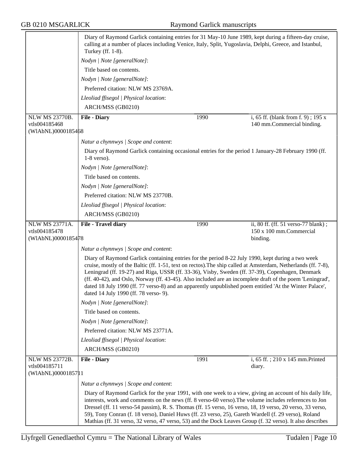|                                                              | Diary of Raymond Garlick containing entries for 31 May-10 June 1989, kept during a fifteen-day cruise,<br>calling at a number of places including Venice, Italy, Split, Yugoslavia, Delphi, Greece, and Istanbul,<br>Turkey (ff. 1-8).                                                                                                                                                                                                                                                                                                                                                  |      |                                                                  |
|--------------------------------------------------------------|-----------------------------------------------------------------------------------------------------------------------------------------------------------------------------------------------------------------------------------------------------------------------------------------------------------------------------------------------------------------------------------------------------------------------------------------------------------------------------------------------------------------------------------------------------------------------------------------|------|------------------------------------------------------------------|
|                                                              | Nodyn   Note [generalNote]:                                                                                                                                                                                                                                                                                                                                                                                                                                                                                                                                                             |      |                                                                  |
|                                                              | Title based on contents.                                                                                                                                                                                                                                                                                                                                                                                                                                                                                                                                                                |      |                                                                  |
|                                                              | Nodyn   Note [generalNote]:                                                                                                                                                                                                                                                                                                                                                                                                                                                                                                                                                             |      |                                                                  |
|                                                              | Preferred citation: NLW MS 23769A.                                                                                                                                                                                                                                                                                                                                                                                                                                                                                                                                                      |      |                                                                  |
|                                                              | Lleoliad ffisegol   Physical location:                                                                                                                                                                                                                                                                                                                                                                                                                                                                                                                                                  |      |                                                                  |
|                                                              | ARCH/MSS (GB0210)                                                                                                                                                                                                                                                                                                                                                                                                                                                                                                                                                                       |      |                                                                  |
| <b>NLW MS 23770B.</b><br>vtls004185468<br>(WIAbNL)0000185468 | <b>File - Diary</b>                                                                                                                                                                                                                                                                                                                                                                                                                                                                                                                                                                     | 1990 | i, 65 ff. (blank from f. 9); 195 x<br>140 mm.Commercial binding. |
|                                                              | Natur a chynnwys / Scope and content:                                                                                                                                                                                                                                                                                                                                                                                                                                                                                                                                                   |      |                                                                  |
|                                                              | Diary of Raymond Garlick containing occasional entries for the period 1 January-28 February 1990 (ff.<br>$1-8$ verso).                                                                                                                                                                                                                                                                                                                                                                                                                                                                  |      |                                                                  |
|                                                              | Nodyn   Note [generalNote]:                                                                                                                                                                                                                                                                                                                                                                                                                                                                                                                                                             |      |                                                                  |
|                                                              | Title based on contents.                                                                                                                                                                                                                                                                                                                                                                                                                                                                                                                                                                |      |                                                                  |
|                                                              | Nodyn   Note [generalNote]:                                                                                                                                                                                                                                                                                                                                                                                                                                                                                                                                                             |      |                                                                  |
|                                                              | Preferred citation: NLW MS 23770B.                                                                                                                                                                                                                                                                                                                                                                                                                                                                                                                                                      |      |                                                                  |
|                                                              | Lleoliad ffisegol   Physical location:                                                                                                                                                                                                                                                                                                                                                                                                                                                                                                                                                  |      |                                                                  |
|                                                              | ARCH/MSS (GB0210)                                                                                                                                                                                                                                                                                                                                                                                                                                                                                                                                                                       |      |                                                                  |
| NLW MS 23771A.                                               | File - Travel diary                                                                                                                                                                                                                                                                                                                                                                                                                                                                                                                                                                     | 1990 | ii, 80 ff. (ff. 51 verso-77 blank);                              |
| vtls004185478<br>(WIAbNL)0000185478                          |                                                                                                                                                                                                                                                                                                                                                                                                                                                                                                                                                                                         |      | 150 x 100 mm.Commercial<br>binding.                              |
|                                                              | Natur a chynnwys / Scope and content:                                                                                                                                                                                                                                                                                                                                                                                                                                                                                                                                                   |      |                                                                  |
|                                                              | Diary of Raymond Garlick containing entries for the period 8-22 July 1990, kept during a two week<br>cruise, mostly of the Baltic (ff. 1-51, text on rectos). The ship called at Amsterdam, Netherlands (ff. 7-8),<br>Leningrad (ff. 19-27) and Riga, USSR (ff. 33-36), Visby, Sweden (ff. 37-39), Copenhagen, Denmark<br>(ff. 40-42), and Oslo, Norway (ff. 43-45). Also included are an incomplete draft of the poem 'Leningrad',<br>dated 18 July 1990 (ff. 77 verso-8) and an apparently unpublished poem entitled 'At the Winter Palace',<br>dated 14 July 1990 (ff. 78 verso- 9). |      |                                                                  |
|                                                              | Nodyn   Note [generalNote]:                                                                                                                                                                                                                                                                                                                                                                                                                                                                                                                                                             |      |                                                                  |
|                                                              | Title based on contents.                                                                                                                                                                                                                                                                                                                                                                                                                                                                                                                                                                |      |                                                                  |
|                                                              | Nodyn   Note [generalNote]:                                                                                                                                                                                                                                                                                                                                                                                                                                                                                                                                                             |      |                                                                  |
|                                                              | Preferred citation: NLW MS 23771A.                                                                                                                                                                                                                                                                                                                                                                                                                                                                                                                                                      |      |                                                                  |
|                                                              | Lleoliad ffisegol   Physical location:                                                                                                                                                                                                                                                                                                                                                                                                                                                                                                                                                  |      |                                                                  |
|                                                              | ARCH/MSS (GB0210)                                                                                                                                                                                                                                                                                                                                                                                                                                                                                                                                                                       |      |                                                                  |
| NLW MS 23772B.<br>vtls004185711                              | <b>File - Diary</b>                                                                                                                                                                                                                                                                                                                                                                                                                                                                                                                                                                     | 1991 | i, 65 ff.; 210 x 145 mm.Printed<br>diary.                        |
| (WIAbNL)00001857 1                                           |                                                                                                                                                                                                                                                                                                                                                                                                                                                                                                                                                                                         |      |                                                                  |
|                                                              | Natur a chynnwys / Scope and content:                                                                                                                                                                                                                                                                                                                                                                                                                                                                                                                                                   |      |                                                                  |
|                                                              | Diary of Raymond Garlick for the year 1991, with one week to a view, giving an account of his daily life,<br>interests, work and comments on the news (ff. 8 verso-60 verso). The volume includes references to Jon<br>Dressel (ff. 11 verso-54 passim), R. S. Thomas (ff. 15 verso, 16 verso, 18, 19 verso, 20 verso, 33 verso,<br>59), Tony Conran (f. 18 verso), Daniel Huws (ff. 23 verso, 25), Gareth Wardell (f. 29 verso), Roland<br>Mathias (ff. 31 verso, 32 verso, 47 verso, 53) and the Dock Leaves Group (f. 32 verso). It also describes                                   |      |                                                                  |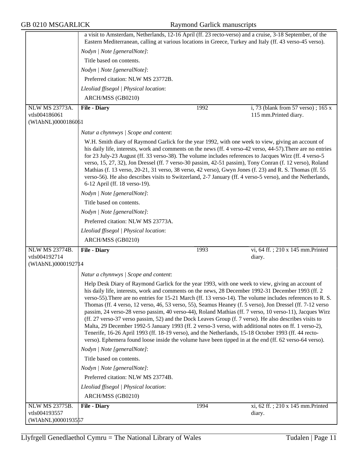|                                     | a visit to Amsterdam, Netherlands, 12-16 April (ff. 23 recto-verso) and a cruise, 3-18 September, of the<br>Eastern Mediterranean, calling at various locations in Greece, Turkey and Italy (ff. 43 verso-45 verso).                                                                                                                                                                                                                                                                                                                                                                                                                                                                                                                                                                                                                                                                                                                                                               |      |                                    |  |
|-------------------------------------|------------------------------------------------------------------------------------------------------------------------------------------------------------------------------------------------------------------------------------------------------------------------------------------------------------------------------------------------------------------------------------------------------------------------------------------------------------------------------------------------------------------------------------------------------------------------------------------------------------------------------------------------------------------------------------------------------------------------------------------------------------------------------------------------------------------------------------------------------------------------------------------------------------------------------------------------------------------------------------|------|------------------------------------|--|
|                                     | Nodyn   Note [generalNote]:                                                                                                                                                                                                                                                                                                                                                                                                                                                                                                                                                                                                                                                                                                                                                                                                                                                                                                                                                        |      |                                    |  |
|                                     |                                                                                                                                                                                                                                                                                                                                                                                                                                                                                                                                                                                                                                                                                                                                                                                                                                                                                                                                                                                    |      |                                    |  |
|                                     | Title based on contents.                                                                                                                                                                                                                                                                                                                                                                                                                                                                                                                                                                                                                                                                                                                                                                                                                                                                                                                                                           |      |                                    |  |
|                                     | Nodyn   Note [generalNote]:                                                                                                                                                                                                                                                                                                                                                                                                                                                                                                                                                                                                                                                                                                                                                                                                                                                                                                                                                        |      |                                    |  |
|                                     | Preferred citation: NLW MS 23772B.                                                                                                                                                                                                                                                                                                                                                                                                                                                                                                                                                                                                                                                                                                                                                                                                                                                                                                                                                 |      |                                    |  |
|                                     | Lleoliad ffisegol   Physical location:                                                                                                                                                                                                                                                                                                                                                                                                                                                                                                                                                                                                                                                                                                                                                                                                                                                                                                                                             |      |                                    |  |
|                                     | ARCH/MSS (GB0210)                                                                                                                                                                                                                                                                                                                                                                                                                                                                                                                                                                                                                                                                                                                                                                                                                                                                                                                                                                  |      |                                    |  |
| <b>NLW MS 23773A.</b>               | <b>File - Diary</b>                                                                                                                                                                                                                                                                                                                                                                                                                                                                                                                                                                                                                                                                                                                                                                                                                                                                                                                                                                | 1992 | i, 73 (blank from 57 verso); 165 x |  |
| vtls004186061<br>(WIAbNL)0000186061 |                                                                                                                                                                                                                                                                                                                                                                                                                                                                                                                                                                                                                                                                                                                                                                                                                                                                                                                                                                                    |      | 115 mm.Printed diary.              |  |
|                                     |                                                                                                                                                                                                                                                                                                                                                                                                                                                                                                                                                                                                                                                                                                                                                                                                                                                                                                                                                                                    |      |                                    |  |
|                                     | Natur a chynnwys / Scope and content:                                                                                                                                                                                                                                                                                                                                                                                                                                                                                                                                                                                                                                                                                                                                                                                                                                                                                                                                              |      |                                    |  |
|                                     | W.H. Smith diary of Raymond Garlick for the year 1992, with one week to view, giving an account of<br>his daily life, interests, work and comments on the news (ff. 4 verso-42 verso, 44-57). There are no entries<br>for 23 July-23 August (ff. 33 verso-38). The volume includes references to Jacques Wirz (ff. 4 verso-5<br>verso, 15, 27, 32), Jon Dressel (ff. 7 verso-30 passim, 42-51 passim), Tony Conran (f. 12 verso), Roland<br>Mathias (f. 13 verso, 20-21, 31 verso, 38 verso, 42 verso), Gwyn Jones (f. 23) and R. S. Thomas (ff. 55<br>verso-56). He also describes visits to Switzerland, 2-7 January (ff. 4 verso-5 verso), and the Netherlands,<br>6-12 April (ff. 18 verso-19).                                                                                                                                                                                                                                                                                |      |                                    |  |
|                                     | Nodyn   Note [generalNote]:                                                                                                                                                                                                                                                                                                                                                                                                                                                                                                                                                                                                                                                                                                                                                                                                                                                                                                                                                        |      |                                    |  |
|                                     | Title based on contents.                                                                                                                                                                                                                                                                                                                                                                                                                                                                                                                                                                                                                                                                                                                                                                                                                                                                                                                                                           |      |                                    |  |
|                                     | Nodyn   Note [generalNote]:                                                                                                                                                                                                                                                                                                                                                                                                                                                                                                                                                                                                                                                                                                                                                                                                                                                                                                                                                        |      |                                    |  |
|                                     | Preferred citation: NLW MS 23773A.                                                                                                                                                                                                                                                                                                                                                                                                                                                                                                                                                                                                                                                                                                                                                                                                                                                                                                                                                 |      |                                    |  |
|                                     | Lleoliad ffisegol   Physical location:                                                                                                                                                                                                                                                                                                                                                                                                                                                                                                                                                                                                                                                                                                                                                                                                                                                                                                                                             |      |                                    |  |
|                                     | ARCH/MSS (GB0210)                                                                                                                                                                                                                                                                                                                                                                                                                                                                                                                                                                                                                                                                                                                                                                                                                                                                                                                                                                  |      |                                    |  |
| <b>NLW MS 23774B.</b>               | <b>File - Diary</b>                                                                                                                                                                                                                                                                                                                                                                                                                                                                                                                                                                                                                                                                                                                                                                                                                                                                                                                                                                | 1993 | vi, 64 ff.; 210 x 145 mm.Printed   |  |
| vtls004192714                       |                                                                                                                                                                                                                                                                                                                                                                                                                                                                                                                                                                                                                                                                                                                                                                                                                                                                                                                                                                                    |      | diary.                             |  |
| (WIAbNL)00001927 14                 |                                                                                                                                                                                                                                                                                                                                                                                                                                                                                                                                                                                                                                                                                                                                                                                                                                                                                                                                                                                    |      |                                    |  |
|                                     | Natur a chynnwys / Scope and content:                                                                                                                                                                                                                                                                                                                                                                                                                                                                                                                                                                                                                                                                                                                                                                                                                                                                                                                                              |      |                                    |  |
|                                     | Help Desk Diary of Raymond Garlick for the year 1993, with one week to view, giving an account of<br>his daily life, interests, work and comments on the news, 28 December 1992-31 December 1993 (ff. 2<br>verso-55). There are no entries for 15-21 March (ff. 13 verso-14). The volume includes references to R. S.<br>Thomas (ff. 4 verso, 12 verso, 46, 53 verso, 55), Seamus Heaney (f. 5 verso), Jon Dressel (ff. 7-12 verso<br>passim, 24 verso-28 verso passim, 40 verso-44), Roland Mathias (ff. 7 verso, 10 verso-11), Jacques Wirz<br>(ff. 27 verso-37 verso passim, 52) and the Dock Leaves Group (f. 7 verso). He also describes visits to<br>Malta, 29 December 1992-5 January 1993 (ff. 2 verso-3 verso, with additional notes on ff. 1 verso-2),<br>Tenerife, 16-26 April 1993 (ff. 18-19 verso), and the Netherlands, 15-18 October 1993 (ff. 44 recto-<br>verso). Ephemera found loose inside the volume have been tipped in at the end (ff. 62 verso-64 verso). |      |                                    |  |
|                                     | Nodyn   Note [generalNote]:                                                                                                                                                                                                                                                                                                                                                                                                                                                                                                                                                                                                                                                                                                                                                                                                                                                                                                                                                        |      |                                    |  |
|                                     | Title based on contents.                                                                                                                                                                                                                                                                                                                                                                                                                                                                                                                                                                                                                                                                                                                                                                                                                                                                                                                                                           |      |                                    |  |
|                                     | Nodyn   Note [generalNote]:                                                                                                                                                                                                                                                                                                                                                                                                                                                                                                                                                                                                                                                                                                                                                                                                                                                                                                                                                        |      |                                    |  |
|                                     | Preferred citation: NLW MS 23774B.                                                                                                                                                                                                                                                                                                                                                                                                                                                                                                                                                                                                                                                                                                                                                                                                                                                                                                                                                 |      |                                    |  |
|                                     | Lleoliad ffisegol   Physical location:                                                                                                                                                                                                                                                                                                                                                                                                                                                                                                                                                                                                                                                                                                                                                                                                                                                                                                                                             |      |                                    |  |
|                                     | ARCH/MSS (GB0210)                                                                                                                                                                                                                                                                                                                                                                                                                                                                                                                                                                                                                                                                                                                                                                                                                                                                                                                                                                  |      |                                    |  |
| NLW MS 23775B.                      | <b>File - Diary</b>                                                                                                                                                                                                                                                                                                                                                                                                                                                                                                                                                                                                                                                                                                                                                                                                                                                                                                                                                                | 1994 | xi, 62 ff.; 210 x 145 mm. Printed  |  |
| vtls004193557                       |                                                                                                                                                                                                                                                                                                                                                                                                                                                                                                                                                                                                                                                                                                                                                                                                                                                                                                                                                                                    |      | diary.                             |  |
| (WIAbNL)0000193557                  |                                                                                                                                                                                                                                                                                                                                                                                                                                                                                                                                                                                                                                                                                                                                                                                                                                                                                                                                                                                    |      |                                    |  |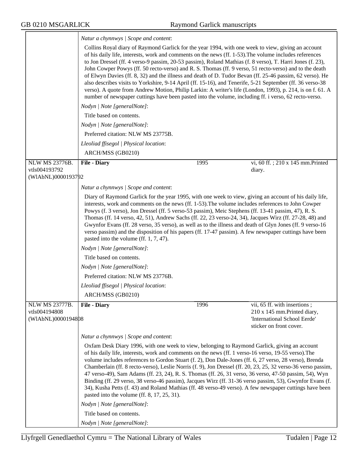|                                                       | Natur a chynnwys / Scope and content:                                                                                                                                                                                                                                                                                                                                                                                                                                                                                                                                                                                                                                                                                                                                                                                                                                              |      |                                                                                                                        |  |
|-------------------------------------------------------|------------------------------------------------------------------------------------------------------------------------------------------------------------------------------------------------------------------------------------------------------------------------------------------------------------------------------------------------------------------------------------------------------------------------------------------------------------------------------------------------------------------------------------------------------------------------------------------------------------------------------------------------------------------------------------------------------------------------------------------------------------------------------------------------------------------------------------------------------------------------------------|------|------------------------------------------------------------------------------------------------------------------------|--|
|                                                       | Collins Royal diary of Raymond Garlick for the year 1994, with one week to view, giving an account<br>of his daily life, interests, work and comments on the news (ff. 1-53). The volume includes references<br>to Jon Dressel (ff. 4 verso-9 passim, 20-53 passim), Roland Mathias (f. 8 verso), T. Harri Jones (f. 23),<br>John Cowper Powys (ff. 50 recto-verso) and R. S. Thomas (ff. 9 verso, 51 recto-verso) and to the death<br>of Elwyn Davies (ff. 8, 32) and the illness and death of D. Tudor Bevan (ff. 25-46 passim, 62 verso). He<br>also describes visits to Yorkshire, 9-14 April (ff. 15-16), and Tenerife, 5-21 September (ff. 36 verso-38<br>verso). A quote from Andrew Motion, Philip Larkin: A writer's life (London, 1993), p. 214, is on f. 61. A<br>number of newspaper cuttings have been pasted into the volume, including ff. i verso, 62 recto-verso. |      |                                                                                                                        |  |
|                                                       | Nodyn   Note [generalNote]:                                                                                                                                                                                                                                                                                                                                                                                                                                                                                                                                                                                                                                                                                                                                                                                                                                                        |      |                                                                                                                        |  |
|                                                       | Title based on contents.                                                                                                                                                                                                                                                                                                                                                                                                                                                                                                                                                                                                                                                                                                                                                                                                                                                           |      |                                                                                                                        |  |
|                                                       | Nodyn   Note [generalNote]:                                                                                                                                                                                                                                                                                                                                                                                                                                                                                                                                                                                                                                                                                                                                                                                                                                                        |      |                                                                                                                        |  |
|                                                       | Preferred citation: NLW MS 23775B.                                                                                                                                                                                                                                                                                                                                                                                                                                                                                                                                                                                                                                                                                                                                                                                                                                                 |      |                                                                                                                        |  |
|                                                       | Lleoliad ffisegol   Physical location:                                                                                                                                                                                                                                                                                                                                                                                                                                                                                                                                                                                                                                                                                                                                                                                                                                             |      |                                                                                                                        |  |
|                                                       | ARCH/MSS (GB0210)                                                                                                                                                                                                                                                                                                                                                                                                                                                                                                                                                                                                                                                                                                                                                                                                                                                                  |      |                                                                                                                        |  |
| NLW MS 23776B.                                        | <b>File - Diary</b>                                                                                                                                                                                                                                                                                                                                                                                                                                                                                                                                                                                                                                                                                                                                                                                                                                                                | 1995 | vi, 60 ff.; 210 x 145 mm.Printed                                                                                       |  |
| vtls004193792<br>(WIAbNL)0000193792                   |                                                                                                                                                                                                                                                                                                                                                                                                                                                                                                                                                                                                                                                                                                                                                                                                                                                                                    |      | diary.                                                                                                                 |  |
|                                                       |                                                                                                                                                                                                                                                                                                                                                                                                                                                                                                                                                                                                                                                                                                                                                                                                                                                                                    |      |                                                                                                                        |  |
|                                                       | Natur a chynnwys / Scope and content:<br>Diary of Raymond Garlick for the year 1995, with one week to view, giving an account of his daily life,                                                                                                                                                                                                                                                                                                                                                                                                                                                                                                                                                                                                                                                                                                                                   |      |                                                                                                                        |  |
|                                                       | interests, work and comments on the news (ff. 1-53). The volume includes references to John Cowper<br>Powys (f. 3 verso), Jon Dressel (ff. 5 verso-53 passim), Meic Stephens (ff. 13-41 passim, 47), R. S.<br>Thomas (ff. 14 verso, 42, 51), Andrew Sachs (ff. 22, 23 verso-24, 34), Jacques Wirz (ff. 27-28, 48) and<br>Gwynfor Evans (ff. 28 verso, 35 verso), as well as to the illness and death of Glyn Jones (ff. 9 verso-16<br>verso passim) and the disposition of his papers (ff. 17-47 passim). A few newspaper cuttings have been<br>pasted into the volume (ff. 1, 7, 47).                                                                                                                                                                                                                                                                                             |      |                                                                                                                        |  |
|                                                       | Nodyn   Note [generalNote]:                                                                                                                                                                                                                                                                                                                                                                                                                                                                                                                                                                                                                                                                                                                                                                                                                                                        |      |                                                                                                                        |  |
|                                                       | Title based on contents.                                                                                                                                                                                                                                                                                                                                                                                                                                                                                                                                                                                                                                                                                                                                                                                                                                                           |      |                                                                                                                        |  |
|                                                       | Nodyn   Note [generalNote]:                                                                                                                                                                                                                                                                                                                                                                                                                                                                                                                                                                                                                                                                                                                                                                                                                                                        |      |                                                                                                                        |  |
|                                                       | Preferred citation: NLW MS 23776B.                                                                                                                                                                                                                                                                                                                                                                                                                                                                                                                                                                                                                                                                                                                                                                                                                                                 |      |                                                                                                                        |  |
|                                                       | Lleoliad ffisegol   Physical location:                                                                                                                                                                                                                                                                                                                                                                                                                                                                                                                                                                                                                                                                                                                                                                                                                                             |      |                                                                                                                        |  |
|                                                       | ARCH/MSS (GB0210)                                                                                                                                                                                                                                                                                                                                                                                                                                                                                                                                                                                                                                                                                                                                                                                                                                                                  |      |                                                                                                                        |  |
| NLW MS 23777B.<br>vtls004194808<br>(WIAbNL)0000194808 | <b>File - Diary</b>                                                                                                                                                                                                                                                                                                                                                                                                                                                                                                                                                                                                                                                                                                                                                                                                                                                                | 1996 | vii, 65 ff. with insertions;<br>210 x 145 mm.Printed diary,<br>'International School Eerde'<br>sticker on front cover. |  |
|                                                       | Natur a chynnwys / Scope and content:                                                                                                                                                                                                                                                                                                                                                                                                                                                                                                                                                                                                                                                                                                                                                                                                                                              |      |                                                                                                                        |  |
|                                                       | Oxfam Desk Diary 1996, with one week to view, belonging to Raymond Garlick, giving an account<br>of his daily life, interests, work and comments on the news (ff. 1 verso-16 verso, 19-55 verso). The<br>volume includes references to Gordon Stuart (f. 2), Don Dale-Jones (ff. 6, 27 verso, 28 verso), Brenda<br>47 verso-49), Sam Adams (ff. 23, 24), R. S. Thomas (ff. 26, 31 verso, 36 verso, 47-50 passim, 54), Wyn<br>Binding (ff. 29 verso, 38 verso-46 passim), Jacques Wirz (ff. 31-36 verso passim, 53), Gwynfor Evans (f.<br>34), Kusha Petts (f. 43) and Roland Mathias (ff. 48 verso-49 verso). A few newspaper cuttings have been<br>pasted into the volume (ff. 8, 17, 25, 31).<br>Nodyn   Note [generalNote]:                                                                                                                                                     |      | Chamberlain (ff. 8 recto-verso), Leslie Norris (f. 9), Jon Dressel (ff. 20, 23, 25, 32 verso-36 verso passim,          |  |
|                                                       | Title based on contents.                                                                                                                                                                                                                                                                                                                                                                                                                                                                                                                                                                                                                                                                                                                                                                                                                                                           |      |                                                                                                                        |  |
|                                                       | Nodyn   Note [generalNote]:                                                                                                                                                                                                                                                                                                                                                                                                                                                                                                                                                                                                                                                                                                                                                                                                                                                        |      |                                                                                                                        |  |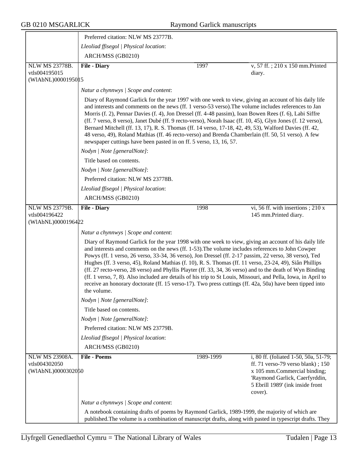|                                                              | Preferred citation: NLW MS 23777B.                                                                                                                                                                                                                                                                                                                                                                                                                                                                                                                                                                                                                                                                                                                                                       |           |                                                                                                                                                                                                 |  |
|--------------------------------------------------------------|------------------------------------------------------------------------------------------------------------------------------------------------------------------------------------------------------------------------------------------------------------------------------------------------------------------------------------------------------------------------------------------------------------------------------------------------------------------------------------------------------------------------------------------------------------------------------------------------------------------------------------------------------------------------------------------------------------------------------------------------------------------------------------------|-----------|-------------------------------------------------------------------------------------------------------------------------------------------------------------------------------------------------|--|
|                                                              | Lleoliad ffisegol   Physical location:                                                                                                                                                                                                                                                                                                                                                                                                                                                                                                                                                                                                                                                                                                                                                   |           |                                                                                                                                                                                                 |  |
|                                                              | ARCH/MSS (GB0210)                                                                                                                                                                                                                                                                                                                                                                                                                                                                                                                                                                                                                                                                                                                                                                        |           |                                                                                                                                                                                                 |  |
| <b>NLW MS 23778B.</b>                                        | <b>File - Diary</b>                                                                                                                                                                                                                                                                                                                                                                                                                                                                                                                                                                                                                                                                                                                                                                      | 1997      | v, 57 ff.; 210 x 150 mm.Printed                                                                                                                                                                 |  |
| vtls004195015<br>(WIAbNL)0000195015                          |                                                                                                                                                                                                                                                                                                                                                                                                                                                                                                                                                                                                                                                                                                                                                                                          |           | diary.                                                                                                                                                                                          |  |
|                                                              | Natur a chynnwys / Scope and content:                                                                                                                                                                                                                                                                                                                                                                                                                                                                                                                                                                                                                                                                                                                                                    |           |                                                                                                                                                                                                 |  |
|                                                              | Diary of Raymond Garlick for the year 1997 with one week to view, giving an account of his daily life<br>and interests and comments on the news (ff. 1 verso-53 verso). The volume includes references to Jan<br>Morris (f. 2), Pennar Davies (f. 4), Jon Dressel (ff. 4-48 passim), Ioan Bowen Rees (f. 6), Labi Siffre<br>(ff. 7 verso, 8 verso), Janet Dubé (ff. 9 recto-verso), Norah Isaac (ff. 10, 45), Glyn Jones (f. 12 verso),<br>Bernard Mitchell (ff. 13, 17), R. S. Thomas (ff. 14 verso, 17-18, 42, 49, 53), Walford Davies (ff. 42,<br>48 verso, 49), Roland Mathias (ff. 46 recto-verso) and Brenda Chamberlain (ff. 50, 51 verso). A few<br>newspaper cuttings have been pasted in on ff. 5 verso, 13, 16, 57.                                                           |           |                                                                                                                                                                                                 |  |
|                                                              | Nodyn   Note [generalNote]:                                                                                                                                                                                                                                                                                                                                                                                                                                                                                                                                                                                                                                                                                                                                                              |           |                                                                                                                                                                                                 |  |
|                                                              | Title based on contents.                                                                                                                                                                                                                                                                                                                                                                                                                                                                                                                                                                                                                                                                                                                                                                 |           |                                                                                                                                                                                                 |  |
|                                                              | Nodyn   Note [generalNote]:                                                                                                                                                                                                                                                                                                                                                                                                                                                                                                                                                                                                                                                                                                                                                              |           |                                                                                                                                                                                                 |  |
|                                                              | Preferred citation: NLW MS 23778B.                                                                                                                                                                                                                                                                                                                                                                                                                                                                                                                                                                                                                                                                                                                                                       |           |                                                                                                                                                                                                 |  |
|                                                              | Lleoliad ffisegol   Physical location:                                                                                                                                                                                                                                                                                                                                                                                                                                                                                                                                                                                                                                                                                                                                                   |           |                                                                                                                                                                                                 |  |
|                                                              | ARCH/MSS (GB0210)                                                                                                                                                                                                                                                                                                                                                                                                                                                                                                                                                                                                                                                                                                                                                                        |           |                                                                                                                                                                                                 |  |
| <b>NLW MS 23779B.</b><br>vtls004196422                       | <b>File - Diary</b>                                                                                                                                                                                                                                                                                                                                                                                                                                                                                                                                                                                                                                                                                                                                                                      | 1998      | vi, 56 ff. with insertions ; 210 x<br>145 mm.Printed diary.                                                                                                                                     |  |
| (WIAbNL)0000196422                                           |                                                                                                                                                                                                                                                                                                                                                                                                                                                                                                                                                                                                                                                                                                                                                                                          |           |                                                                                                                                                                                                 |  |
|                                                              | Natur a chynnwys / Scope and content:                                                                                                                                                                                                                                                                                                                                                                                                                                                                                                                                                                                                                                                                                                                                                    |           |                                                                                                                                                                                                 |  |
|                                                              | Diary of Raymond Garlick for the year 1998 with one week to view, giving an account of his daily life<br>and interests and comments on the news (ff. 1-53). The volume includes references to John Cowper<br>Powys (ff. 1 verso, 26 verso, 33-34, 36 verso), Jon Dressel (ff. 2-17 passim, 22 verso, 38 verso), Ted<br>Hughes (ff. 3 verso, 45), Roland Mathias (f. 10), R. S. Thomas (ff. 11 verso, 23-24, 49), Siân Phillips<br>(ff. 27 recto-verso, 28 verso) and Phyllis Playter (ff. 33, 34, 36 verso) and to the death of Wyn Binding<br>(ff. 1 verso, 7, 8). Also included are details of his trip to St Louis, Missouri, and Pella, Iowa, in April to<br>receive an honorary doctorate (ff. 15 verso-17). Two press cuttings (ff. 42a, 50a) have been tipped into<br>the volume. |           |                                                                                                                                                                                                 |  |
|                                                              | Nodyn   Note [generalNote]:                                                                                                                                                                                                                                                                                                                                                                                                                                                                                                                                                                                                                                                                                                                                                              |           |                                                                                                                                                                                                 |  |
|                                                              | Title based on contents.                                                                                                                                                                                                                                                                                                                                                                                                                                                                                                                                                                                                                                                                                                                                                                 |           |                                                                                                                                                                                                 |  |
|                                                              | Nodyn   Note [generalNote]:                                                                                                                                                                                                                                                                                                                                                                                                                                                                                                                                                                                                                                                                                                                                                              |           |                                                                                                                                                                                                 |  |
|                                                              | Preferred citation: NLW MS 23779B.                                                                                                                                                                                                                                                                                                                                                                                                                                                                                                                                                                                                                                                                                                                                                       |           |                                                                                                                                                                                                 |  |
|                                                              | Lleoliad ffisegol   Physical location:                                                                                                                                                                                                                                                                                                                                                                                                                                                                                                                                                                                                                                                                                                                                                   |           |                                                                                                                                                                                                 |  |
|                                                              | ARCH/MSS (GB0210)                                                                                                                                                                                                                                                                                                                                                                                                                                                                                                                                                                                                                                                                                                                                                                        |           |                                                                                                                                                                                                 |  |
| <b>NLW MS 23908A.</b><br>vtls004302050<br>(WIAbNL)0000302050 | <b>File - Poems</b>                                                                                                                                                                                                                                                                                                                                                                                                                                                                                                                                                                                                                                                                                                                                                                      | 1989-1999 | i, 80 ff. (foliated 1-50, 50a, 51-79;<br>ff. $71$ verso-79 verso blank); $150$<br>x 105 mm.Commercial binding;<br>'Raymond Garlick, Caerfyrddin,<br>5 Ebrill 1989' (ink inside front<br>cover). |  |
|                                                              | Natur a chynnwys / Scope and content:                                                                                                                                                                                                                                                                                                                                                                                                                                                                                                                                                                                                                                                                                                                                                    |           |                                                                                                                                                                                                 |  |
|                                                              | A notebook containing drafts of poems by Raymond Garlick, 1989-1999, the majority of which are<br>published. The volume is a combination of manuscript drafts, along with pasted in typescript drafts. They                                                                                                                                                                                                                                                                                                                                                                                                                                                                                                                                                                              |           |                                                                                                                                                                                                 |  |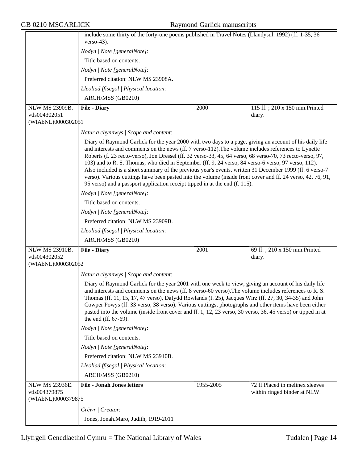|                                                              | include some thirty of the forty-one poems published in Travel Notes (Llandysul, 1992) (ff. 1-35, 36<br>$verso-43$ ).                                                                                                                                                                                                                                                                                                                                                                                                                                                                                                                                                                                                                       |                   |                                         |  |
|--------------------------------------------------------------|---------------------------------------------------------------------------------------------------------------------------------------------------------------------------------------------------------------------------------------------------------------------------------------------------------------------------------------------------------------------------------------------------------------------------------------------------------------------------------------------------------------------------------------------------------------------------------------------------------------------------------------------------------------------------------------------------------------------------------------------|-------------------|-----------------------------------------|--|
|                                                              | Nodyn   Note [generalNote]:                                                                                                                                                                                                                                                                                                                                                                                                                                                                                                                                                                                                                                                                                                                 |                   |                                         |  |
|                                                              | Title based on contents.                                                                                                                                                                                                                                                                                                                                                                                                                                                                                                                                                                                                                                                                                                                    |                   |                                         |  |
|                                                              | Nodyn   Note [generalNote]:                                                                                                                                                                                                                                                                                                                                                                                                                                                                                                                                                                                                                                                                                                                 |                   |                                         |  |
|                                                              | Preferred citation: NLW MS 23908A.                                                                                                                                                                                                                                                                                                                                                                                                                                                                                                                                                                                                                                                                                                          |                   |                                         |  |
|                                                              | Lleoliad ffisegol   Physical location:                                                                                                                                                                                                                                                                                                                                                                                                                                                                                                                                                                                                                                                                                                      |                   |                                         |  |
|                                                              | ARCH/MSS (GB0210)                                                                                                                                                                                                                                                                                                                                                                                                                                                                                                                                                                                                                                                                                                                           |                   |                                         |  |
| NLW MS 23909B.                                               | <b>File - Diary</b>                                                                                                                                                                                                                                                                                                                                                                                                                                                                                                                                                                                                                                                                                                                         | 2000              | 115 ff.; 210 x 150 mm. Printed          |  |
| vtls004302051                                                |                                                                                                                                                                                                                                                                                                                                                                                                                                                                                                                                                                                                                                                                                                                                             |                   | diary.                                  |  |
| (WIAbNL)0000302051                                           |                                                                                                                                                                                                                                                                                                                                                                                                                                                                                                                                                                                                                                                                                                                                             |                   |                                         |  |
|                                                              | Natur a chynnwys / Scope and content:                                                                                                                                                                                                                                                                                                                                                                                                                                                                                                                                                                                                                                                                                                       |                   |                                         |  |
|                                                              | Diary of Raymond Garlick for the year 2000 with two days to a page, giving an account of his daily life<br>and interests and comments on the news (ff. 7 verso-112). The volume includes references to Lynette<br>Roberts (f. 23 recto-verso), Jon Dressel (ff. 32 verso-33, 45, 64 verso, 68 verso-70, 73 recto-verso, 97,<br>103) and to R. S. Thomas, who died in September (ff. 9, 24 verso, 84 verso-6 verso, 97 verso, 112).<br>Also included is a short summary of the previous year's events, written 31 December 1999 (ff. 6 verso-7<br>verso). Various cuttings have been pasted into the volume (inside front cover and ff. 24 verso, 42, 76, 91,<br>95 verso) and a passport application receipt tipped in at the end (f. 115). |                   |                                         |  |
|                                                              | Nodyn   Note [generalNote]:                                                                                                                                                                                                                                                                                                                                                                                                                                                                                                                                                                                                                                                                                                                 |                   |                                         |  |
|                                                              | Title based on contents.                                                                                                                                                                                                                                                                                                                                                                                                                                                                                                                                                                                                                                                                                                                    |                   |                                         |  |
|                                                              | Nodyn   Note [generalNote]:                                                                                                                                                                                                                                                                                                                                                                                                                                                                                                                                                                                                                                                                                                                 |                   |                                         |  |
|                                                              | Preferred citation: NLW MS 23909B.                                                                                                                                                                                                                                                                                                                                                                                                                                                                                                                                                                                                                                                                                                          |                   |                                         |  |
|                                                              | Lleoliad ffisegol   Physical location:                                                                                                                                                                                                                                                                                                                                                                                                                                                                                                                                                                                                                                                                                                      |                   |                                         |  |
|                                                              | ARCH/MSS (GB0210)                                                                                                                                                                                                                                                                                                                                                                                                                                                                                                                                                                                                                                                                                                                           |                   |                                         |  |
| <b>NLW MS 23910B.</b><br>vtls004302052<br>(WIAbNL)0000302052 | <b>File - Diary</b>                                                                                                                                                                                                                                                                                                                                                                                                                                                                                                                                                                                                                                                                                                                         | $\overline{2001}$ | 69 ff.; 210 x 150 mm. Printed<br>diary. |  |
|                                                              | Natur a chynnwys / Scope and content:                                                                                                                                                                                                                                                                                                                                                                                                                                                                                                                                                                                                                                                                                                       |                   |                                         |  |
|                                                              | Diary of Raymond Garlick for the year 2001 with one week to view, giving an account of his daily life<br>and interests and comments on the news (ff. 8 verso-60 verso). The volume includes references to R. S.<br>Thomas (ff. 11, 15, 17, 47 verso), Dafydd Rowlands (f. 25), Jacques Wirz (ff. 27, 30, 34-35) and John<br>Cowper Powys (ff. 33 verso, 38 verso). Various cuttings, photographs and other items have been either<br>pasted into the volume (inside front cover and ff. 1, 12, 23 verso, 30 verso, 36, 45 verso) or tipped in at<br>the end (ff. 67-69).                                                                                                                                                                    |                   |                                         |  |
|                                                              | Nodyn   Note [generalNote]:                                                                                                                                                                                                                                                                                                                                                                                                                                                                                                                                                                                                                                                                                                                 |                   |                                         |  |
|                                                              | Title based on contents.                                                                                                                                                                                                                                                                                                                                                                                                                                                                                                                                                                                                                                                                                                                    |                   |                                         |  |
|                                                              | Nodyn   Note [generalNote]:                                                                                                                                                                                                                                                                                                                                                                                                                                                                                                                                                                                                                                                                                                                 |                   |                                         |  |
|                                                              | Preferred citation: NLW MS 23910B.                                                                                                                                                                                                                                                                                                                                                                                                                                                                                                                                                                                                                                                                                                          |                   |                                         |  |
|                                                              | Lleoliad ffisegol   Physical location:                                                                                                                                                                                                                                                                                                                                                                                                                                                                                                                                                                                                                                                                                                      |                   |                                         |  |
|                                                              | ARCH/MSS (GB0210)                                                                                                                                                                                                                                                                                                                                                                                                                                                                                                                                                                                                                                                                                                                           |                   |                                         |  |
| <b>NLW MS 23936E.</b>                                        | <b>File - Jonah Jones letters</b>                                                                                                                                                                                                                                                                                                                                                                                                                                                                                                                                                                                                                                                                                                           | 1955-2005         | 72 ff.Placed in melinex sleeves         |  |
| vtls004379875<br>(WIAbNL)0000379875                          |                                                                                                                                                                                                                                                                                                                                                                                                                                                                                                                                                                                                                                                                                                                                             |                   | within ringed binder at NLW.            |  |
|                                                              | Crëwr   Creator:                                                                                                                                                                                                                                                                                                                                                                                                                                                                                                                                                                                                                                                                                                                            |                   |                                         |  |
|                                                              |                                                                                                                                                                                                                                                                                                                                                                                                                                                                                                                                                                                                                                                                                                                                             |                   |                                         |  |
|                                                              | Jones, Jonah.Maro, Judith, 1919-2011                                                                                                                                                                                                                                                                                                                                                                                                                                                                                                                                                                                                                                                                                                        |                   |                                         |  |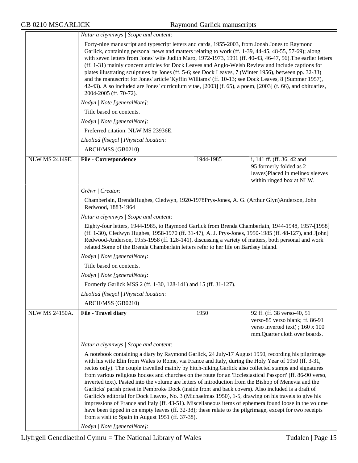|                       | Natur a chynnwys / Scope and content:<br>Forty-nine manuscript and typescript letters and cards, 1955-2003, from Jonah Jones to Raymond<br>Garlick, containing personal news and matters relating to work (ff. 1-39, 44-45, 48-55, 57-69); along<br>with seven letters from Jones' wife Judith Maro, 1972-1973, 1991 (ff. 40-43, 46-47, 56). The earlier letters<br>(ff. 1-31) mainly concern articles for Dock Leaves and Anglo-Welsh Review and include captions for<br>plates illustrating sculptures by Jones (ff. 5-6; see Dock Leaves, 7 (Winter 1956), between pp. 32-33)<br>and the manuscript for Jones' article 'Kyffin Williams' (ff. 10-13; see Dock Leaves, 8 (Summer 1957),<br>42-43). Also included are Jones' curriculum vitae, [2003] (f. 65), a poem, [2003] (f. 66), and obituaries,<br>2004-2005 (ff. 70-72).                                                                                                                                                                                                                                       |           |                                                                                                                                    |  |  |
|-----------------------|-------------------------------------------------------------------------------------------------------------------------------------------------------------------------------------------------------------------------------------------------------------------------------------------------------------------------------------------------------------------------------------------------------------------------------------------------------------------------------------------------------------------------------------------------------------------------------------------------------------------------------------------------------------------------------------------------------------------------------------------------------------------------------------------------------------------------------------------------------------------------------------------------------------------------------------------------------------------------------------------------------------------------------------------------------------------------|-----------|------------------------------------------------------------------------------------------------------------------------------------|--|--|
|                       |                                                                                                                                                                                                                                                                                                                                                                                                                                                                                                                                                                                                                                                                                                                                                                                                                                                                                                                                                                                                                                                                         |           |                                                                                                                                    |  |  |
|                       | Nodyn   Note [generalNote]:                                                                                                                                                                                                                                                                                                                                                                                                                                                                                                                                                                                                                                                                                                                                                                                                                                                                                                                                                                                                                                             |           |                                                                                                                                    |  |  |
|                       | Title based on contents.                                                                                                                                                                                                                                                                                                                                                                                                                                                                                                                                                                                                                                                                                                                                                                                                                                                                                                                                                                                                                                                |           |                                                                                                                                    |  |  |
|                       | Nodyn   Note [generalNote]:                                                                                                                                                                                                                                                                                                                                                                                                                                                                                                                                                                                                                                                                                                                                                                                                                                                                                                                                                                                                                                             |           |                                                                                                                                    |  |  |
|                       | Preferred citation: NLW MS 23936E.                                                                                                                                                                                                                                                                                                                                                                                                                                                                                                                                                                                                                                                                                                                                                                                                                                                                                                                                                                                                                                      |           |                                                                                                                                    |  |  |
|                       | Lleoliad ffisegol   Physical location:                                                                                                                                                                                                                                                                                                                                                                                                                                                                                                                                                                                                                                                                                                                                                                                                                                                                                                                                                                                                                                  |           |                                                                                                                                    |  |  |
|                       | ARCH/MSS (GB0210)                                                                                                                                                                                                                                                                                                                                                                                                                                                                                                                                                                                                                                                                                                                                                                                                                                                                                                                                                                                                                                                       |           |                                                                                                                                    |  |  |
| <b>NLW MS 24149E.</b> | <b>File - Correspondence</b>                                                                                                                                                                                                                                                                                                                                                                                                                                                                                                                                                                                                                                                                                                                                                                                                                                                                                                                                                                                                                                            | 1944-1985 | i, 141 ff. (ff. 36, 42 and<br>95 formerly folded as 2<br>leaves)Placed in melinex sleeves<br>within ringed box at NLW.             |  |  |
|                       | Crëwr   Creator:                                                                                                                                                                                                                                                                                                                                                                                                                                                                                                                                                                                                                                                                                                                                                                                                                                                                                                                                                                                                                                                        |           |                                                                                                                                    |  |  |
|                       | Chamberlain, BrendaHughes, Cledwyn, 1920-1978Prys-Jones, A. G. (Arthur Glyn)Anderson, John<br>Redwood, 1883-1964                                                                                                                                                                                                                                                                                                                                                                                                                                                                                                                                                                                                                                                                                                                                                                                                                                                                                                                                                        |           |                                                                                                                                    |  |  |
|                       | Natur a chynnwys / Scope and content:                                                                                                                                                                                                                                                                                                                                                                                                                                                                                                                                                                                                                                                                                                                                                                                                                                                                                                                                                                                                                                   |           |                                                                                                                                    |  |  |
|                       | Eighty-four letters, 1944-1985, to Raymond Garlick from Brenda Chamberlain, 1944-1948, 1957-[1958]<br>(ff. 1-30), Cledwyn Hughes, 1958-1970 (ff. 31-47), A. J. Prys-Jones, 1950-1985 (ff. 48-127), and J[ohn]<br>Redwood-Anderson, 1955-1958 (ff. 128-141), discussing a variety of matters, both personal and work<br>related.Some of the Brenda Chamberlain letters refer to her life on Bardsey Island.                                                                                                                                                                                                                                                                                                                                                                                                                                                                                                                                                                                                                                                              |           |                                                                                                                                    |  |  |
|                       | Nodyn   Note [generalNote]:                                                                                                                                                                                                                                                                                                                                                                                                                                                                                                                                                                                                                                                                                                                                                                                                                                                                                                                                                                                                                                             |           |                                                                                                                                    |  |  |
|                       | Title based on contents.                                                                                                                                                                                                                                                                                                                                                                                                                                                                                                                                                                                                                                                                                                                                                                                                                                                                                                                                                                                                                                                |           |                                                                                                                                    |  |  |
|                       | Nodyn   Note [generalNote]:                                                                                                                                                                                                                                                                                                                                                                                                                                                                                                                                                                                                                                                                                                                                                                                                                                                                                                                                                                                                                                             |           |                                                                                                                                    |  |  |
|                       | Formerly Garlick MSS 2 (ff. 1-30, 128-141) and 15 (ff. 31-127).                                                                                                                                                                                                                                                                                                                                                                                                                                                                                                                                                                                                                                                                                                                                                                                                                                                                                                                                                                                                         |           |                                                                                                                                    |  |  |
|                       | Lleoliad ffisegol   Physical location:                                                                                                                                                                                                                                                                                                                                                                                                                                                                                                                                                                                                                                                                                                                                                                                                                                                                                                                                                                                                                                  |           |                                                                                                                                    |  |  |
|                       | ARCH/MSS (GB0210)                                                                                                                                                                                                                                                                                                                                                                                                                                                                                                                                                                                                                                                                                                                                                                                                                                                                                                                                                                                                                                                       |           |                                                                                                                                    |  |  |
| <b>NLW MS 24150A.</b> | <b>File - Travel diary</b>                                                                                                                                                                                                                                                                                                                                                                                                                                                                                                                                                                                                                                                                                                                                                                                                                                                                                                                                                                                                                                              | 1950      | 92 ff. (ff. 38 verso-40, 51<br>verso-85 verso blank; ff. 86-91<br>verso inverted text); 160 x 100<br>mm.Quarter cloth over boards. |  |  |
|                       | Natur a chynnwys / Scope and content:                                                                                                                                                                                                                                                                                                                                                                                                                                                                                                                                                                                                                                                                                                                                                                                                                                                                                                                                                                                                                                   |           |                                                                                                                                    |  |  |
|                       | A notebook containing a diary by Raymond Garlick, 24 July-17 August 1950, recording his pilgrimage<br>with his wife Elin from Wales to Rome, via France and Italy, during the Holy Year of 1950 (ff. 3-31,<br>rectos only). The couple travelled mainly by hitch-hiking. Garlick also collected stamps and signatures<br>from various religious houses and churches on the route for an 'Ecclesiastical Passport' (ff. 86-90 verso,<br>inverted text). Pasted into the volume are letters of introduction from the Bishop of Menevia and the<br>Garlicks' parish priest in Pembroke Dock (inside front and back covers). Also included is a draft of<br>Garlick's editorial for Dock Leaves, No. 3 (Michaelmas 1950), 1-5, drawing on his travels to give his<br>impressions of France and Italy (ff. 43-51). Miscellaneous items of ephemera found loose in the volume<br>have been tipped in on empty leaves (ff. 32-38); these relate to the pilgrimage, except for two receipts<br>from a visit to Spain in August 1951 (ff. 37-38).<br>Nodyn   Note [generalNote]: |           |                                                                                                                                    |  |  |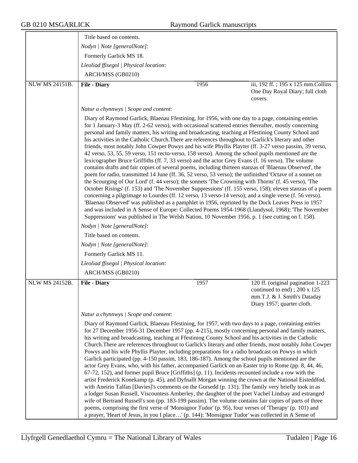|                       | Title based on contents.                                                                                                                                                                                                                                          |      |                                                                                                                                                                                                                                                                                                                                                                                                                                                                                                                                                                                                                                                                                                                                                                                                                                                                                                                                                                                                                                                                                                                                                                                                                                                                                                                                                                                                                                                                                                                  |
|-----------------------|-------------------------------------------------------------------------------------------------------------------------------------------------------------------------------------------------------------------------------------------------------------------|------|------------------------------------------------------------------------------------------------------------------------------------------------------------------------------------------------------------------------------------------------------------------------------------------------------------------------------------------------------------------------------------------------------------------------------------------------------------------------------------------------------------------------------------------------------------------------------------------------------------------------------------------------------------------------------------------------------------------------------------------------------------------------------------------------------------------------------------------------------------------------------------------------------------------------------------------------------------------------------------------------------------------------------------------------------------------------------------------------------------------------------------------------------------------------------------------------------------------------------------------------------------------------------------------------------------------------------------------------------------------------------------------------------------------------------------------------------------------------------------------------------------------|
|                       | Nodyn   Note [generalNote]:                                                                                                                                                                                                                                       |      |                                                                                                                                                                                                                                                                                                                                                                                                                                                                                                                                                                                                                                                                                                                                                                                                                                                                                                                                                                                                                                                                                                                                                                                                                                                                                                                                                                                                                                                                                                                  |
|                       | Formerly Garlick MS 18.                                                                                                                                                                                                                                           |      |                                                                                                                                                                                                                                                                                                                                                                                                                                                                                                                                                                                                                                                                                                                                                                                                                                                                                                                                                                                                                                                                                                                                                                                                                                                                                                                                                                                                                                                                                                                  |
|                       | Lleoliad ffisegol   Physical location:                                                                                                                                                                                                                            |      |                                                                                                                                                                                                                                                                                                                                                                                                                                                                                                                                                                                                                                                                                                                                                                                                                                                                                                                                                                                                                                                                                                                                                                                                                                                                                                                                                                                                                                                                                                                  |
|                       | ARCH/MSS (GB0210)                                                                                                                                                                                                                                                 |      |                                                                                                                                                                                                                                                                                                                                                                                                                                                                                                                                                                                                                                                                                                                                                                                                                                                                                                                                                                                                                                                                                                                                                                                                                                                                                                                                                                                                                                                                                                                  |
| <b>NLW MS 24151B.</b> | <b>File - Diary</b>                                                                                                                                                                                                                                               | 1956 | iii, 192 ff.; 195 x 125 mm. Collins<br>One Day Royal Diary; full cloth<br>covers.                                                                                                                                                                                                                                                                                                                                                                                                                                                                                                                                                                                                                                                                                                                                                                                                                                                                                                                                                                                                                                                                                                                                                                                                                                                                                                                                                                                                                                |
|                       | Natur a chynnwys   Scope and content:                                                                                                                                                                                                                             |      |                                                                                                                                                                                                                                                                                                                                                                                                                                                                                                                                                                                                                                                                                                                                                                                                                                                                                                                                                                                                                                                                                                                                                                                                                                                                                                                                                                                                                                                                                                                  |
|                       | lexicographer Bruce Griffiths (ff. 7, 33 verso) and the actor Grey Evans (f. 16 verso). The volume<br>Nodyn   Note [generalNote]:<br>Title based on contents.<br>Nodyn   Note [generalNote]:<br>Formerly Garlick MS 11.<br>Lleoliad ffisegol   Physical location: |      | Diary of Raymond Garlick, Blaenau Ffestiniog, for 1956, with one day to a page, containing entries<br>for 1 January-3 May (ff. 2-62 verso), with occasional scattered entries thereafter, mostly concerning<br>personal and family matters, his writing and broadcasting, teaching at Ffestiniog County School and<br>his activities in the Catholic Church. There are references throughout to Garlick's literary and other<br>friends, most notably John Cowper Powys and his wife Phyllis Playter (ff. 3-27 verso passim, 39 verso,<br>42 verso, 53, 55, 59 verso, 151 recto-verso, 158 verso). Among the school pupils mentioned are the<br>contains drafts and fair copies of several poems, including thirteen stanzas of 'Blaenau Observed', the<br>poem for radio, transmitted 14 June (ff. 36, 52 verso, 53 verso); the unfinished 'Octave of a sonnet on<br>the Scourging of Our Lord' (f. 44 verso); the sonnets 'The Crowning with Thorns' (f. 45 verso), 'The<br>October Risings' (f. 153) and 'The November Suppressions' (ff. 155 verso, 158); eleven stanzas of a poem<br>concerning a pilgrimage to Lourdes (ff. 12 verso, 13 verso-14 verso); and a single verse (f. 56 verso).<br>'Blaenau Observed' was published as a pamphlet in 1956, reprinted by the Dock Leaves Press in 1957<br>and was included in A Sense of Europe: Collected Poems 1954-1968 (Llandysul, 1968); 'The November<br>Suppressions' was published in The Welsh Nation, 10 November 1956, p. 1 (see cutting on f. 158). |
|                       | ARCH/MSS (GB0210)                                                                                                                                                                                                                                                 |      |                                                                                                                                                                                                                                                                                                                                                                                                                                                                                                                                                                                                                                                                                                                                                                                                                                                                                                                                                                                                                                                                                                                                                                                                                                                                                                                                                                                                                                                                                                                  |
| <b>NLW MS 24152B.</b> | <b>File - Diary</b>                                                                                                                                                                                                                                               | 1957 | 120 ff. (original pagination 1-223<br>continued to end); 200 x 125<br>mm.T.J. & J. Smith's Dataday<br>Diary 1957; quarter cloth.                                                                                                                                                                                                                                                                                                                                                                                                                                                                                                                                                                                                                                                                                                                                                                                                                                                                                                                                                                                                                                                                                                                                                                                                                                                                                                                                                                                 |
|                       | Natur a chynnwys / Scope and content:                                                                                                                                                                                                                             |      |                                                                                                                                                                                                                                                                                                                                                                                                                                                                                                                                                                                                                                                                                                                                                                                                                                                                                                                                                                                                                                                                                                                                                                                                                                                                                                                                                                                                                                                                                                                  |
|                       |                                                                                                                                                                                                                                                                   |      | Diary of Raymond Garlick, Blaenau Ffestiniog, for 1957, with two days to a page, containing entries<br>for 27 December 1956-31 December 1957 (pp. 4-215), mostly concerning personal and family matters,<br>his writing and broadcasting, teaching at Ffestiniog County School and his activities in the Catholic<br>Church. There are references throughout to Garlick's literary and other friends, most notably John Cowper<br>Powys and his wife Phyllis Playter, including preparations for a radio broadcast on Powys in which<br>Garlick participated (pp. 4-150 passim, 183, 186-187). Among the school pupils mentioned are the<br>actor Grey Evans, who, with his father, accompanied Garlick on an Easter trip to Rome (pp. 8, 44, 46,<br>67-72, 152), and former pupil Bruce [Griffiths] (p. 11). Incidents recounted include a row with the<br>artist Frederick Konekamp (p. 45), and Dyfnallt Morgan winning the crown at the National Eisteddfod,<br>with Aneirin Talfan [Davies]'s comments on the Gorsedd (p. 131). The family very briefly took in as<br>a lodger Susan Russell, Viscountess Amberley, the daughter of the poet Vachel Lindsay and estranged<br>wife of Bertrand Russell's son (pp. 183-199 passim). The volume contains fair copies of parts of three<br>poems, comprising the first verse of 'Monsignor Tudor' (p. 95), four verses of 'Therapy' (p. 101) and<br>a prayer, 'Heart of Jesus, in you I place' (p. 144); 'Monsignor Tudor' was collected in A Sense of          |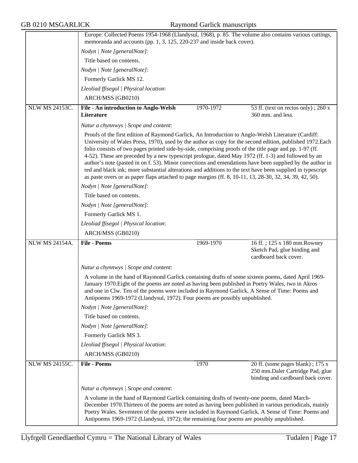|                       | Europe: Collected Poems 1954-1968 (Llandysul, 1968), p. 85. The volume also contains various cuttings,                                                                                                                                                                                                                                                                                                                                                                                                                                                                                                                                                                                                                                                                    |           |                                                                                                           |
|-----------------------|---------------------------------------------------------------------------------------------------------------------------------------------------------------------------------------------------------------------------------------------------------------------------------------------------------------------------------------------------------------------------------------------------------------------------------------------------------------------------------------------------------------------------------------------------------------------------------------------------------------------------------------------------------------------------------------------------------------------------------------------------------------------------|-----------|-----------------------------------------------------------------------------------------------------------|
|                       | memoranda and accounts (pp. 1, 3, 125, 220-237 and inside back cover).                                                                                                                                                                                                                                                                                                                                                                                                                                                                                                                                                                                                                                                                                                    |           |                                                                                                           |
|                       | Nodyn   Note [generalNote]:<br>Title based on contents.                                                                                                                                                                                                                                                                                                                                                                                                                                                                                                                                                                                                                                                                                                                   |           |                                                                                                           |
|                       |                                                                                                                                                                                                                                                                                                                                                                                                                                                                                                                                                                                                                                                                                                                                                                           |           |                                                                                                           |
|                       | Nodyn   Note [generalNote]:                                                                                                                                                                                                                                                                                                                                                                                                                                                                                                                                                                                                                                                                                                                                               |           |                                                                                                           |
|                       | Formerly Garlick MS 12.                                                                                                                                                                                                                                                                                                                                                                                                                                                                                                                                                                                                                                                                                                                                                   |           |                                                                                                           |
|                       | Lleoliad ffisegol   Physical location:                                                                                                                                                                                                                                                                                                                                                                                                                                                                                                                                                                                                                                                                                                                                    |           |                                                                                                           |
|                       | ARCH/MSS (GB0210)                                                                                                                                                                                                                                                                                                                                                                                                                                                                                                                                                                                                                                                                                                                                                         |           |                                                                                                           |
| <b>NLW MS 24153C.</b> | File - An introduction to Anglo-Welsh<br><b>Literature</b>                                                                                                                                                                                                                                                                                                                                                                                                                                                                                                                                                                                                                                                                                                                | 1970-1972 | 53 ff. (text on rectos only); 260 x<br>360 mm. and less.                                                  |
|                       |                                                                                                                                                                                                                                                                                                                                                                                                                                                                                                                                                                                                                                                                                                                                                                           |           |                                                                                                           |
|                       | Natur a chynnwys / Scope and content:                                                                                                                                                                                                                                                                                                                                                                                                                                                                                                                                                                                                                                                                                                                                     |           |                                                                                                           |
|                       | Proofs of the first edition of Raymond Garlick, An Introduction to Anglo-Welsh Literature (Cardiff:<br>University of Wales Press, 1970), used by the author as copy for the second edition, published 1972. Each<br>folio consists of two pages printed side-by-side, comprising proofs of the title page and pp. 1-97 (ff.<br>4-52). These are preceded by a new typescript prologue, dated May 1972 (ff. 1-3) and followed by an<br>author's note (pasted in on f. 53). Minor corrections and emendations have been supplied by the author in<br>red and black ink; more substantial alterations and additions to the text have been supplied in typescript<br>as paste overs or as paper flaps attached to page margins (ff. 8, 10-11, 13, 28-30, 32, 34, 39, 42, 50). |           |                                                                                                           |
|                       | Nodyn   Note [generalNote]:                                                                                                                                                                                                                                                                                                                                                                                                                                                                                                                                                                                                                                                                                                                                               |           |                                                                                                           |
|                       | Title based on contents.                                                                                                                                                                                                                                                                                                                                                                                                                                                                                                                                                                                                                                                                                                                                                  |           |                                                                                                           |
|                       | Nodyn   Note [generalNote]:                                                                                                                                                                                                                                                                                                                                                                                                                                                                                                                                                                                                                                                                                                                                               |           |                                                                                                           |
|                       | Formerly Garlick MS 1.                                                                                                                                                                                                                                                                                                                                                                                                                                                                                                                                                                                                                                                                                                                                                    |           |                                                                                                           |
|                       | Lleoliad ffisegol   Physical location:                                                                                                                                                                                                                                                                                                                                                                                                                                                                                                                                                                                                                                                                                                                                    |           |                                                                                                           |
|                       | ARCH/MSS (GB0210)                                                                                                                                                                                                                                                                                                                                                                                                                                                                                                                                                                                                                                                                                                                                                         |           |                                                                                                           |
| <b>NLW MS 24154A.</b> | <b>File - Poems</b>                                                                                                                                                                                                                                                                                                                                                                                                                                                                                                                                                                                                                                                                                                                                                       | 1969-1970 | 16 ff.; 125 x 180 mm. Rowney<br>Sketch Pad, glue binding and<br>cardboard back cover.                     |
|                       | Natur a chynnwys / Scope and content:                                                                                                                                                                                                                                                                                                                                                                                                                                                                                                                                                                                                                                                                                                                                     |           |                                                                                                           |
|                       | A volume in the hand of Raymond Garlick containing drafts of some sixteen poems, dated April 1969-<br>January 1970. Eight of the poems are noted as having been published in Poetry Wales, two in Akros<br>and one in Clw. Ten of the poems were included in Raymond Garlick, A Sense of Time: Poems and<br>Antipoems 1969-1972 (Llandysul, 1972). Four poems are possibly unpublished.                                                                                                                                                                                                                                                                                                                                                                                   |           |                                                                                                           |
|                       | Nodyn   Note [generalNote]:                                                                                                                                                                                                                                                                                                                                                                                                                                                                                                                                                                                                                                                                                                                                               |           |                                                                                                           |
|                       | Title based on contents.                                                                                                                                                                                                                                                                                                                                                                                                                                                                                                                                                                                                                                                                                                                                                  |           |                                                                                                           |
|                       | Nodyn   Note [generalNote]:                                                                                                                                                                                                                                                                                                                                                                                                                                                                                                                                                                                                                                                                                                                                               |           |                                                                                                           |
|                       | Formerly Garlick MS 3.                                                                                                                                                                                                                                                                                                                                                                                                                                                                                                                                                                                                                                                                                                                                                    |           |                                                                                                           |
|                       | Lleoliad ffisegol   Physical location:                                                                                                                                                                                                                                                                                                                                                                                                                                                                                                                                                                                                                                                                                                                                    |           |                                                                                                           |
|                       | ARCH/MSS (GB0210)                                                                                                                                                                                                                                                                                                                                                                                                                                                                                                                                                                                                                                                                                                                                                         |           |                                                                                                           |
| <b>NLW MS 24155C.</b> | <b>File - Poems</b>                                                                                                                                                                                                                                                                                                                                                                                                                                                                                                                                                                                                                                                                                                                                                       | 1970      | 20 ff. (some pages blank); 175 x<br>250 mm.Daler Cartridge Pad, glue<br>binding and cardboard back cover. |
|                       | Natur a chynnwys / Scope and content:                                                                                                                                                                                                                                                                                                                                                                                                                                                                                                                                                                                                                                                                                                                                     |           |                                                                                                           |
|                       | A volume in the hand of Raymond Garlick containing drafts of twenty-one poems, dated March-<br>December 1970. Thirteen of the poems are noted as having been published in various periodicals, mainly<br>Poetry Wales. Seventeen of the poems were included in Raymond Garlick, A Sense of Time: Poems and<br>Antipoems 1969-1972 (Llandysul, 1972); the remaining four poems are possibly unpublished.                                                                                                                                                                                                                                                                                                                                                                   |           |                                                                                                           |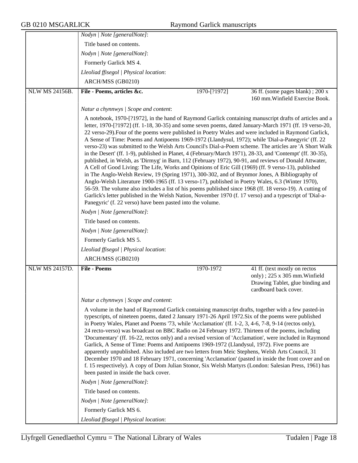|                       | Nodyn   Note [generalNote]:                                                                                                                                                                                                                                                                                                                                                                                                                                                                                                                                                                                                                                                                                                                                                                                                                                                                                                                                                                                                                                                                                                                                                                                                                                                                                                                                                                                                                                                              |              |                                                                                                   |
|-----------------------|------------------------------------------------------------------------------------------------------------------------------------------------------------------------------------------------------------------------------------------------------------------------------------------------------------------------------------------------------------------------------------------------------------------------------------------------------------------------------------------------------------------------------------------------------------------------------------------------------------------------------------------------------------------------------------------------------------------------------------------------------------------------------------------------------------------------------------------------------------------------------------------------------------------------------------------------------------------------------------------------------------------------------------------------------------------------------------------------------------------------------------------------------------------------------------------------------------------------------------------------------------------------------------------------------------------------------------------------------------------------------------------------------------------------------------------------------------------------------------------|--------------|---------------------------------------------------------------------------------------------------|
|                       | Title based on contents.                                                                                                                                                                                                                                                                                                                                                                                                                                                                                                                                                                                                                                                                                                                                                                                                                                                                                                                                                                                                                                                                                                                                                                                                                                                                                                                                                                                                                                                                 |              |                                                                                                   |
|                       | Nodyn   Note [generalNote]:                                                                                                                                                                                                                                                                                                                                                                                                                                                                                                                                                                                                                                                                                                                                                                                                                                                                                                                                                                                                                                                                                                                                                                                                                                                                                                                                                                                                                                                              |              |                                                                                                   |
|                       | Formerly Garlick MS 4.                                                                                                                                                                                                                                                                                                                                                                                                                                                                                                                                                                                                                                                                                                                                                                                                                                                                                                                                                                                                                                                                                                                                                                                                                                                                                                                                                                                                                                                                   |              |                                                                                                   |
|                       | Lleoliad ffisegol   Physical location:                                                                                                                                                                                                                                                                                                                                                                                                                                                                                                                                                                                                                                                                                                                                                                                                                                                                                                                                                                                                                                                                                                                                                                                                                                                                                                                                                                                                                                                   |              |                                                                                                   |
|                       | ARCH/MSS (GB0210)                                                                                                                                                                                                                                                                                                                                                                                                                                                                                                                                                                                                                                                                                                                                                                                                                                                                                                                                                                                                                                                                                                                                                                                                                                                                                                                                                                                                                                                                        |              |                                                                                                   |
| <b>NLW MS 24156B.</b> | File - Poems, articles &c.                                                                                                                                                                                                                                                                                                                                                                                                                                                                                                                                                                                                                                                                                                                                                                                                                                                                                                                                                                                                                                                                                                                                                                                                                                                                                                                                                                                                                                                               | 1970-[?1972] | 36 ff. (some pages blank); 200 x                                                                  |
|                       |                                                                                                                                                                                                                                                                                                                                                                                                                                                                                                                                                                                                                                                                                                                                                                                                                                                                                                                                                                                                                                                                                                                                                                                                                                                                                                                                                                                                                                                                                          |              | 160 mm. Winfield Exercise Book.                                                                   |
|                       | Natur a chynnwys   Scope and content:                                                                                                                                                                                                                                                                                                                                                                                                                                                                                                                                                                                                                                                                                                                                                                                                                                                                                                                                                                                                                                                                                                                                                                                                                                                                                                                                                                                                                                                    |              |                                                                                                   |
|                       | A notebook, 1970-[?1972], in the hand of Raymond Garlick containing manuscript drafts of articles and a<br>letter, 1970-[?1972] (ff. 1-18, 30-35) and some seven poems, dated January-March 1971 (ff. 19 verso-20,<br>22 verso-29). Four of the poems were published in Poetry Wales and were included in Raymond Garlick,<br>A Sense of Time: Poems and Antipoems 1969-1972 (Llandysul, 1972); while 'Dial-a-Panegyric' (ff. 22<br>verso-23) was submitted to the Welsh Arts Council's Dial-a-Poem scheme. The articles are 'A Short Walk<br>in the Desert' (ff. 1-9), published in Planet, 4 (February/March 1971), 28-33, and 'Contempt' (ff. 30-35),<br>published, in Welsh, as 'Dirmyg' in Barn, 112 (February 1972), 90-91, and reviews of Donald Attwater,<br>A Cell of Good Living: The Life, Works and Opinions of Eric Gill (1969) (ff. 9 verso-13), published<br>in The Anglo-Welsh Review, 19 (Spring 1971), 300-302, and of Brynmor Jones, A Bibliography of<br>Anglo-Welsh Literature 1900-1965 (ff. 13 verso-17), published in Poetry Wales, 6.3 (Winter 1970),<br>56-59. The volume also includes a list of his poems published since 1968 (ff. 18 verso-19). A cutting of<br>Garlick's letter published in the Welsh Nation, November 1970 (f. 17 verso) and a typescript of 'Dial-a-<br>Panegyric' (f. 22 verso) have been pasted into the volume.<br>Nodyn   Note [generalNote]:<br>Title based on contents.<br>Nodyn   Note [generalNote]:<br>Formerly Garlick MS 5. |              |                                                                                                   |
|                       | Lleoliad ffisegol   Physical location:                                                                                                                                                                                                                                                                                                                                                                                                                                                                                                                                                                                                                                                                                                                                                                                                                                                                                                                                                                                                                                                                                                                                                                                                                                                                                                                                                                                                                                                   |              |                                                                                                   |
|                       | ARCH/MSS (GB0210)                                                                                                                                                                                                                                                                                                                                                                                                                                                                                                                                                                                                                                                                                                                                                                                                                                                                                                                                                                                                                                                                                                                                                                                                                                                                                                                                                                                                                                                                        |              |                                                                                                   |
| <b>NLW MS 24157D.</b> | <b>File - Poems</b>                                                                                                                                                                                                                                                                                                                                                                                                                                                                                                                                                                                                                                                                                                                                                                                                                                                                                                                                                                                                                                                                                                                                                                                                                                                                                                                                                                                                                                                                      | 1970-1972    | 41 ff. (text mostly on rectos                                                                     |
|                       |                                                                                                                                                                                                                                                                                                                                                                                                                                                                                                                                                                                                                                                                                                                                                                                                                                                                                                                                                                                                                                                                                                                                                                                                                                                                                                                                                                                                                                                                                          |              | only); $225 \times 305$ mm. Winfield<br>Drawing Tablet, glue binding and<br>cardboard back cover. |
|                       | Natur a chynnwys / Scope and content:                                                                                                                                                                                                                                                                                                                                                                                                                                                                                                                                                                                                                                                                                                                                                                                                                                                                                                                                                                                                                                                                                                                                                                                                                                                                                                                                                                                                                                                    |              |                                                                                                   |
|                       | A volume in the hand of Raymond Garlick containing manuscript drafts, together with a few pasted-in<br>typescripts, of nineteen poems, dated 2 January 1971-26 April 1972. Six of the poems were published<br>in Poetry Wales, Planet and Poems '73, while 'Acclamation' (ff. 1-2, 3, 4-6, 7-8, 9-14 (rectos only),<br>24 recto-verso) was broadcast on BBC Radio on 24 February 1972. Thirteen of the poems, including<br>'Documentary' (ff. 16-22, rectos only) and a revised version of 'Acclamation', were included in Raymond<br>Garlick, A Sense of Time: Poems and Antipoems 1969-1972 (Llandysul, 1972). Five poems are<br>apparently unpublished. Also included are two letters from Meic Stephens, Welsh Arts Council, 31<br>December 1970 and 18 February 1971, concerning 'Acclamation' (pasted in inside the front cover and on<br>f. 15 respectively). A copy of Dom Julian Stonor, Six Welsh Martyrs (London: Salesian Press, 1961) has<br>been pasted in inside the back cover.                                                                                                                                                                                                                                                                                                                                                                                                                                                                                          |              |                                                                                                   |
|                       | Nodyn   Note [generalNote]:                                                                                                                                                                                                                                                                                                                                                                                                                                                                                                                                                                                                                                                                                                                                                                                                                                                                                                                                                                                                                                                                                                                                                                                                                                                                                                                                                                                                                                                              |              |                                                                                                   |
|                       | Title based on contents.                                                                                                                                                                                                                                                                                                                                                                                                                                                                                                                                                                                                                                                                                                                                                                                                                                                                                                                                                                                                                                                                                                                                                                                                                                                                                                                                                                                                                                                                 |              |                                                                                                   |
|                       | Nodyn   Note [generalNote]:                                                                                                                                                                                                                                                                                                                                                                                                                                                                                                                                                                                                                                                                                                                                                                                                                                                                                                                                                                                                                                                                                                                                                                                                                                                                                                                                                                                                                                                              |              |                                                                                                   |
|                       | Formerly Garlick MS 6.                                                                                                                                                                                                                                                                                                                                                                                                                                                                                                                                                                                                                                                                                                                                                                                                                                                                                                                                                                                                                                                                                                                                                                                                                                                                                                                                                                                                                                                                   |              |                                                                                                   |
|                       | Lleoliad ffisegol   Physical location:                                                                                                                                                                                                                                                                                                                                                                                                                                                                                                                                                                                                                                                                                                                                                                                                                                                                                                                                                                                                                                                                                                                                                                                                                                                                                                                                                                                                                                                   |              |                                                                                                   |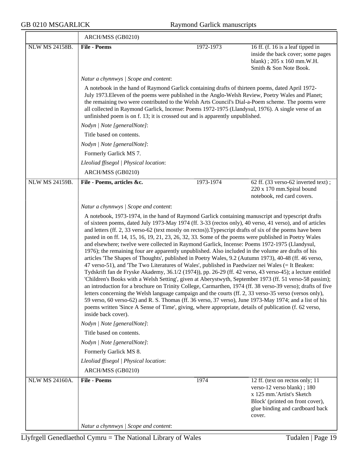$\equiv$ 

|                       | ARCH/MSS (GB0210)                                                                                                                                                                                                                                                                                                                                                                                                                                                                                                                                                                                                                                                                                                                                                        |           |                                                                                                                                                                                                                                                                                                                                                                                                                                                                                                                                                                                                                                                                       |
|-----------------------|--------------------------------------------------------------------------------------------------------------------------------------------------------------------------------------------------------------------------------------------------------------------------------------------------------------------------------------------------------------------------------------------------------------------------------------------------------------------------------------------------------------------------------------------------------------------------------------------------------------------------------------------------------------------------------------------------------------------------------------------------------------------------|-----------|-----------------------------------------------------------------------------------------------------------------------------------------------------------------------------------------------------------------------------------------------------------------------------------------------------------------------------------------------------------------------------------------------------------------------------------------------------------------------------------------------------------------------------------------------------------------------------------------------------------------------------------------------------------------------|
| NLW MS 24158B.        | <b>File - Poems</b>                                                                                                                                                                                                                                                                                                                                                                                                                                                                                                                                                                                                                                                                                                                                                      | 1972-1973 | 16 ff. (f. 16 is a leaf tipped in<br>inside the back cover; some pages<br>blank); 205 x 160 mm.W.H.<br>Smith & Son Note Book.                                                                                                                                                                                                                                                                                                                                                                                                                                                                                                                                         |
|                       | Natur a chynnwys / Scope and content:                                                                                                                                                                                                                                                                                                                                                                                                                                                                                                                                                                                                                                                                                                                                    |           |                                                                                                                                                                                                                                                                                                                                                                                                                                                                                                                                                                                                                                                                       |
|                       | A notebook in the hand of Raymond Garlick containing drafts of thirteen poems, dated April 1972-<br>all collected in Raymond Garlick, Incense: Poems 1972-1975 (Llandysul, 1976). A single verse of an<br>unfinished poem is on f. 13; it is crossed out and is apparently unpublished.                                                                                                                                                                                                                                                                                                                                                                                                                                                                                  |           | July 1973. Eleven of the poems were published in the Anglo-Welsh Review, Poetry Wales and Planet;<br>the remaining two were contributed to the Welsh Arts Council's Dial-a-Poem scheme. The poems were                                                                                                                                                                                                                                                                                                                                                                                                                                                                |
|                       | Nodyn   Note [generalNote]:                                                                                                                                                                                                                                                                                                                                                                                                                                                                                                                                                                                                                                                                                                                                              |           |                                                                                                                                                                                                                                                                                                                                                                                                                                                                                                                                                                                                                                                                       |
|                       | Title based on contents.                                                                                                                                                                                                                                                                                                                                                                                                                                                                                                                                                                                                                                                                                                                                                 |           |                                                                                                                                                                                                                                                                                                                                                                                                                                                                                                                                                                                                                                                                       |
|                       | Nodyn   Note [generalNote]:                                                                                                                                                                                                                                                                                                                                                                                                                                                                                                                                                                                                                                                                                                                                              |           |                                                                                                                                                                                                                                                                                                                                                                                                                                                                                                                                                                                                                                                                       |
|                       | Formerly Garlick MS 7.                                                                                                                                                                                                                                                                                                                                                                                                                                                                                                                                                                                                                                                                                                                                                   |           |                                                                                                                                                                                                                                                                                                                                                                                                                                                                                                                                                                                                                                                                       |
|                       | Lleoliad ffisegol   Physical location:                                                                                                                                                                                                                                                                                                                                                                                                                                                                                                                                                                                                                                                                                                                                   |           |                                                                                                                                                                                                                                                                                                                                                                                                                                                                                                                                                                                                                                                                       |
|                       | ARCH/MSS (GB0210)                                                                                                                                                                                                                                                                                                                                                                                                                                                                                                                                                                                                                                                                                                                                                        |           |                                                                                                                                                                                                                                                                                                                                                                                                                                                                                                                                                                                                                                                                       |
| <b>NLW MS 24159B.</b> | File - Poems, articles &c.                                                                                                                                                                                                                                                                                                                                                                                                                                                                                                                                                                                                                                                                                                                                               | 1973-1974 | 62 ff. (33 verso-62 inverted text);<br>220 x 170 mm.Spiral bound<br>notebook, red card covers.                                                                                                                                                                                                                                                                                                                                                                                                                                                                                                                                                                        |
|                       | Natur a chynnwys / Scope and content:                                                                                                                                                                                                                                                                                                                                                                                                                                                                                                                                                                                                                                                                                                                                    |           |                                                                                                                                                                                                                                                                                                                                                                                                                                                                                                                                                                                                                                                                       |
|                       | and letters (ff. 2, 33 verso-62 (text mostly on rectos)). Typescript drafts of six of the poems have been<br>pasted in on ff. 14, 15, 16, 19, 21, 23, 26, 32, 33. Some of the poems were published in Poetry Wales<br>and elsewhere; twelve were collected in Raymond Garlick, Incense: Poems 1972-1975 (Llandysul,<br>1976); the remaining four are apparently unpublished. Also included in the volume are drafts of his<br>articles 'The Shapes of Thoughts', published in Poetry Wales, 9.2 (Autumn 1973), 40-48 (ff. 46 verso,<br>47 verso-51), and 'The Two Literatures of Wales', published in Paedwizer nei Wales (= It Beaken:<br>poems written 'Since A Sense of Time', giving, where appropriate, details of publication (f. 62 verso,<br>inside back cover). |           | of sixteen poems, dated July 1973-May 1974 (ff. 3-33 (rectos only), 40 verso, 41 verso), and of articles<br>Tydskrift fan de Fryske Akademy, 36.1/2 (1974)), pp. 26-29 (ff. 42 verso, 43 verso-45); a lecture entitled<br>'Children's Books with a Welsh Setting', given at Aberystwyth, September 1973 (ff. 51 verso-58 passim);<br>an introduction for a brochure on Trinity College, Carmarthen, 1974 (ff. 38 verso-39 verso); drafts of five<br>letters concerning the Welsh language campaign and the courts (ff. 2, 33 verso-35 verso (versos only),<br>59 verso, 60 verso-62) and R. S. Thomas (ff. 36 verso, 37 verso), June 1973-May 1974; and a list of his |
|                       | Nodyn   Note [generalNote]:                                                                                                                                                                                                                                                                                                                                                                                                                                                                                                                                                                                                                                                                                                                                              |           |                                                                                                                                                                                                                                                                                                                                                                                                                                                                                                                                                                                                                                                                       |
|                       | Title based on contents.                                                                                                                                                                                                                                                                                                                                                                                                                                                                                                                                                                                                                                                                                                                                                 |           |                                                                                                                                                                                                                                                                                                                                                                                                                                                                                                                                                                                                                                                                       |
|                       | Nodyn   Note [generalNote]:                                                                                                                                                                                                                                                                                                                                                                                                                                                                                                                                                                                                                                                                                                                                              |           |                                                                                                                                                                                                                                                                                                                                                                                                                                                                                                                                                                                                                                                                       |
|                       | Formerly Garlick MS 8.                                                                                                                                                                                                                                                                                                                                                                                                                                                                                                                                                                                                                                                                                                                                                   |           |                                                                                                                                                                                                                                                                                                                                                                                                                                                                                                                                                                                                                                                                       |
|                       | Lleoliad ffisegol   Physical location:                                                                                                                                                                                                                                                                                                                                                                                                                                                                                                                                                                                                                                                                                                                                   |           |                                                                                                                                                                                                                                                                                                                                                                                                                                                                                                                                                                                                                                                                       |
|                       | ARCH/MSS (GB0210)                                                                                                                                                                                                                                                                                                                                                                                                                                                                                                                                                                                                                                                                                                                                                        |           |                                                                                                                                                                                                                                                                                                                                                                                                                                                                                                                                                                                                                                                                       |
| NLW MS 24160A.        | <b>File - Poems</b>                                                                                                                                                                                                                                                                                                                                                                                                                                                                                                                                                                                                                                                                                                                                                      | 1974      | 12 ff. (text on rectos only; 11<br>verso-12 verso blank); 180<br>x 125 mm.'Artist's Sketch<br>Block' (printed on front cover),<br>glue binding and cardboard back<br>cover.                                                                                                                                                                                                                                                                                                                                                                                                                                                                                           |
|                       | Natur a chynnwys / Scope and content:                                                                                                                                                                                                                                                                                                                                                                                                                                                                                                                                                                                                                                                                                                                                    |           |                                                                                                                                                                                                                                                                                                                                                                                                                                                                                                                                                                                                                                                                       |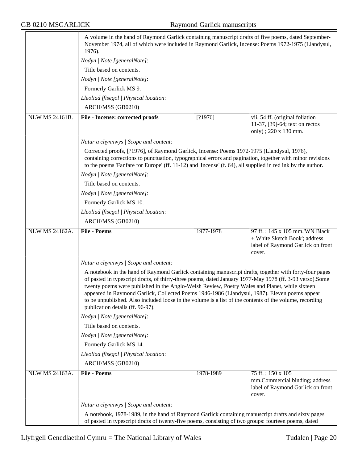|                       | A volume in the hand of Raymond Garlick containing manuscript drafts of five poems, dated September-<br>November 1974, all of which were included in Raymond Garlick, Incense: Poems 1972-1975 (Llandysul,<br>1976).                                                                                                                                                                                                                                                                                                                                                 |           |                                                                                                                |
|-----------------------|----------------------------------------------------------------------------------------------------------------------------------------------------------------------------------------------------------------------------------------------------------------------------------------------------------------------------------------------------------------------------------------------------------------------------------------------------------------------------------------------------------------------------------------------------------------------|-----------|----------------------------------------------------------------------------------------------------------------|
|                       | Nodyn   Note [generalNote]:                                                                                                                                                                                                                                                                                                                                                                                                                                                                                                                                          |           |                                                                                                                |
|                       | Title based on contents.                                                                                                                                                                                                                                                                                                                                                                                                                                                                                                                                             |           |                                                                                                                |
|                       | Nodyn   Note [generalNote]:                                                                                                                                                                                                                                                                                                                                                                                                                                                                                                                                          |           |                                                                                                                |
|                       | Formerly Garlick MS 9.                                                                                                                                                                                                                                                                                                                                                                                                                                                                                                                                               |           |                                                                                                                |
|                       | Lleoliad ffisegol   Physical location:                                                                                                                                                                                                                                                                                                                                                                                                                                                                                                                               |           |                                                                                                                |
|                       | ARCH/MSS (GB0210)                                                                                                                                                                                                                                                                                                                                                                                                                                                                                                                                                    |           |                                                                                                                |
| <b>NLW MS 24161B.</b> | File - Incense: corrected proofs                                                                                                                                                                                                                                                                                                                                                                                                                                                                                                                                     | [?1976]   | vii, 54 ff. (original foliation<br>11-37, [39]-64; text on rectos<br>only); 220 x 130 mm.                      |
|                       | Natur a chynnwys / Scope and content:                                                                                                                                                                                                                                                                                                                                                                                                                                                                                                                                |           |                                                                                                                |
|                       | Corrected proofs, [?1976], of Raymond Garlick, Incense: Poems 1972-1975 (Llandysul, 1976),<br>containing corrections to punctuation, typographical errors and pagination, together with minor revisions<br>to the poems 'Fanfare for Europe' (ff. $11-12$ ) and 'Incense' (f. 64), all supplied in red ink by the author.                                                                                                                                                                                                                                            |           |                                                                                                                |
|                       | Nodyn   Note [generalNote]:                                                                                                                                                                                                                                                                                                                                                                                                                                                                                                                                          |           |                                                                                                                |
|                       | Title based on contents.                                                                                                                                                                                                                                                                                                                                                                                                                                                                                                                                             |           |                                                                                                                |
|                       | Nodyn   Note [generalNote]:                                                                                                                                                                                                                                                                                                                                                                                                                                                                                                                                          |           |                                                                                                                |
|                       | Formerly Garlick MS 10.                                                                                                                                                                                                                                                                                                                                                                                                                                                                                                                                              |           |                                                                                                                |
|                       | Lleoliad ffisegol   Physical location:                                                                                                                                                                                                                                                                                                                                                                                                                                                                                                                               |           |                                                                                                                |
|                       | ARCH/MSS (GB0210)                                                                                                                                                                                                                                                                                                                                                                                                                                                                                                                                                    |           |                                                                                                                |
| <b>NLW MS 24162A.</b> | <b>File - Poems</b>                                                                                                                                                                                                                                                                                                                                                                                                                                                                                                                                                  | 1977-1978 | 97 ff.; 145 x 105 mm. WN Black<br>+ White Sketch Book'; address<br>label of Raymond Garlick on front<br>cover. |
|                       | Natur a chynnwys / Scope and content:                                                                                                                                                                                                                                                                                                                                                                                                                                                                                                                                |           |                                                                                                                |
|                       | A notebook in the hand of Raymond Garlick containing manuscript drafts, together with forty-four pages<br>of pasted in typescript drafts, of thirty-three poems, dated January 1977-May 1978 (ff. 3-93 verso). Some<br>twenty poems were published in the Anglo-Welsh Review, Poetry Wales and Planet, while sixteen<br>appeared in Raymond Garlick, Collected Poems 1946-1986 (Llandysul, 1987). Eleven poems appear<br>to be unpublished. Also included loose in the volume is a list of the contents of the volume, recording<br>publication details (ff. 96-97). |           |                                                                                                                |
|                       | Nodyn   Note [generalNote]:                                                                                                                                                                                                                                                                                                                                                                                                                                                                                                                                          |           |                                                                                                                |
|                       | Title based on contents.                                                                                                                                                                                                                                                                                                                                                                                                                                                                                                                                             |           |                                                                                                                |
|                       | Nodyn   Note [generalNote]:                                                                                                                                                                                                                                                                                                                                                                                                                                                                                                                                          |           |                                                                                                                |
|                       | Formerly Garlick MS 14.                                                                                                                                                                                                                                                                                                                                                                                                                                                                                                                                              |           |                                                                                                                |
|                       | Lleoliad ffisegol   Physical location:                                                                                                                                                                                                                                                                                                                                                                                                                                                                                                                               |           |                                                                                                                |
|                       | ARCH/MSS (GB0210)                                                                                                                                                                                                                                                                                                                                                                                                                                                                                                                                                    |           |                                                                                                                |
| <b>NLW MS 24163A.</b> | <b>File - Poems</b>                                                                                                                                                                                                                                                                                                                                                                                                                                                                                                                                                  | 1978-1989 | 75 ff.; 150 x 105<br>mm.Commercial binding; address<br>label of Raymond Garlick on front<br>cover.             |
|                       |                                                                                                                                                                                                                                                                                                                                                                                                                                                                                                                                                                      |           |                                                                                                                |
|                       | Natur a chynnwys / Scope and content:                                                                                                                                                                                                                                                                                                                                                                                                                                                                                                                                |           |                                                                                                                |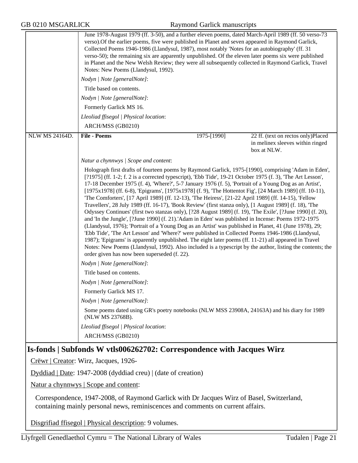|                       | June 1978-August 1979 (ff. 3-50), and a further eleven poems, dated March-April 1989 (ff. 50 verso-73<br>verso). Of the earlier poems, five were published in Planet and seven appeared in Raymond Garlick,<br>Collected Poems 1946-1986 (Llandysul, 1987), most notably 'Notes for an autobiography' (ff. 31<br>verso-50); the remaining six are apparently unpublished. Of the eleven later poems six were published<br>in Planet and the New Welsh Review; they were all subsequently collected in Raymond Garlick, Travel<br>Notes: New Poems (Llandysul, 1992).                                                                                                                                                                                                                                                                                                                                                                                                                                                                                                                                                                                                                                                                                                                                                                                                                                  |             |                                                                                       |
|-----------------------|-------------------------------------------------------------------------------------------------------------------------------------------------------------------------------------------------------------------------------------------------------------------------------------------------------------------------------------------------------------------------------------------------------------------------------------------------------------------------------------------------------------------------------------------------------------------------------------------------------------------------------------------------------------------------------------------------------------------------------------------------------------------------------------------------------------------------------------------------------------------------------------------------------------------------------------------------------------------------------------------------------------------------------------------------------------------------------------------------------------------------------------------------------------------------------------------------------------------------------------------------------------------------------------------------------------------------------------------------------------------------------------------------------|-------------|---------------------------------------------------------------------------------------|
|                       | Nodyn   Note [generalNote]:                                                                                                                                                                                                                                                                                                                                                                                                                                                                                                                                                                                                                                                                                                                                                                                                                                                                                                                                                                                                                                                                                                                                                                                                                                                                                                                                                                           |             |                                                                                       |
|                       | Title based on contents.                                                                                                                                                                                                                                                                                                                                                                                                                                                                                                                                                                                                                                                                                                                                                                                                                                                                                                                                                                                                                                                                                                                                                                                                                                                                                                                                                                              |             |                                                                                       |
|                       | Nodyn   Note [generalNote]:                                                                                                                                                                                                                                                                                                                                                                                                                                                                                                                                                                                                                                                                                                                                                                                                                                                                                                                                                                                                                                                                                                                                                                                                                                                                                                                                                                           |             |                                                                                       |
|                       | Formerly Garlick MS 16.                                                                                                                                                                                                                                                                                                                                                                                                                                                                                                                                                                                                                                                                                                                                                                                                                                                                                                                                                                                                                                                                                                                                                                                                                                                                                                                                                                               |             |                                                                                       |
|                       | Lleoliad ffisegol   Physical location:                                                                                                                                                                                                                                                                                                                                                                                                                                                                                                                                                                                                                                                                                                                                                                                                                                                                                                                                                                                                                                                                                                                                                                                                                                                                                                                                                                |             |                                                                                       |
|                       | ARCH/MSS (GB0210)                                                                                                                                                                                                                                                                                                                                                                                                                                                                                                                                                                                                                                                                                                                                                                                                                                                                                                                                                                                                                                                                                                                                                                                                                                                                                                                                                                                     |             |                                                                                       |
| <b>NLW MS 24164D.</b> | <b>File - Poems</b>                                                                                                                                                                                                                                                                                                                                                                                                                                                                                                                                                                                                                                                                                                                                                                                                                                                                                                                                                                                                                                                                                                                                                                                                                                                                                                                                                                                   | 1975-[1990] | 22 ff. (text on rectos only)Placed<br>in melinex sleeves within ringed<br>box at NLW. |
|                       | Natur a chynnwys / Scope and content:                                                                                                                                                                                                                                                                                                                                                                                                                                                                                                                                                                                                                                                                                                                                                                                                                                                                                                                                                                                                                                                                                                                                                                                                                                                                                                                                                                 |             |                                                                                       |
|                       | Holograph first drafts of fourteen poems by Raymond Garlick, 1975-[1990], comprising 'Adam in Eden',<br>[?1975] (ff. 1-2; f. 2 is a corrected typescript), 'Ebb Tide', 19-21 October 1975 (f. 3), 'The Art Lesson',<br>17-18 December 1975 (f. 4), 'Where?', 5-7 January 1976 (f. 5), 'Portrait of a Young Dog as an Artist',<br>[1975x1978] (ff. 6-8), 'Epigrams', [1975x1978] (f. 9), 'The Hottentot Fig', [24 March 1989] (ff. 10-11),<br>The Comforters', [17 April 1989] (ff. 12-13), 'The Heiress', [21-22 April 1989] (ff. 14-15), 'Fellow<br>Travellers', 28 July 1989 (ff. 16-17), 'Book Review' (first stanza only), [1 August 1989] (f. 18), 'The<br>Odyssey Continues' (first two stanzas only), [?28 August 1989] (f. 19), 'The Exile', [?June 1990] (f. 20),<br>and 'In the Jungle', [?June 1990] (f. 21).'Adam in Eden' was published in Incense: Poems 1972-1975<br>(Llandysul, 1976); 'Portrait of a Young Dog as an Artist' was published in Planet, 41 (June 1978), 29;<br>'Ebb Tide', 'The Art Lesson' and 'Where?' were published in Collected Poems 1946-1986 (Llandysul,<br>1987); 'Epigrams' is apparently unpublished. The eight later poems (ff. 11-21) all appeared in Travel<br>Notes: New Poems (Llandysul, 1992). Also included is a typescript by the author, listing the contents; the<br>order given has now been superseded (f. 22).<br>Nodyn   Note [generalNote]: |             |                                                                                       |
|                       | Title based on contents.                                                                                                                                                                                                                                                                                                                                                                                                                                                                                                                                                                                                                                                                                                                                                                                                                                                                                                                                                                                                                                                                                                                                                                                                                                                                                                                                                                              |             |                                                                                       |
|                       | Nodyn   Note [generalNote]:                                                                                                                                                                                                                                                                                                                                                                                                                                                                                                                                                                                                                                                                                                                                                                                                                                                                                                                                                                                                                                                                                                                                                                                                                                                                                                                                                                           |             |                                                                                       |
|                       | Formerly Garlick MS 17.                                                                                                                                                                                                                                                                                                                                                                                                                                                                                                                                                                                                                                                                                                                                                                                                                                                                                                                                                                                                                                                                                                                                                                                                                                                                                                                                                                               |             |                                                                                       |
|                       | Nodyn   Note [generalNote]:                                                                                                                                                                                                                                                                                                                                                                                                                                                                                                                                                                                                                                                                                                                                                                                                                                                                                                                                                                                                                                                                                                                                                                                                                                                                                                                                                                           |             |                                                                                       |
|                       | Some poems dated using GR's poetry notebooks (NLW MSS 23908A, 24163A) and his diary for 1989<br>(NLW MS 23768B).                                                                                                                                                                                                                                                                                                                                                                                                                                                                                                                                                                                                                                                                                                                                                                                                                                                                                                                                                                                                                                                                                                                                                                                                                                                                                      |             |                                                                                       |
|                       | Lleoliad ffisegol   Physical location:                                                                                                                                                                                                                                                                                                                                                                                                                                                                                                                                                                                                                                                                                                                                                                                                                                                                                                                                                                                                                                                                                                                                                                                                                                                                                                                                                                |             |                                                                                       |
|                       | ARCH/MSS (GB0210)                                                                                                                                                                                                                                                                                                                                                                                                                                                                                                                                                                                                                                                                                                                                                                                                                                                                                                                                                                                                                                                                                                                                                                                                                                                                                                                                                                                     |             |                                                                                       |
|                       | Is-fonds   Subfonds W vtls006262702: Correspondence with Jacques Wirz                                                                                                                                                                                                                                                                                                                                                                                                                                                                                                                                                                                                                                                                                                                                                                                                                                                                                                                                                                                                                                                                                                                                                                                                                                                                                                                                 |             |                                                                                       |
|                       | Crëwr   Creator: Wirz, Jacques, 1926-                                                                                                                                                                                                                                                                                                                                                                                                                                                                                                                                                                                                                                                                                                                                                                                                                                                                                                                                                                                                                                                                                                                                                                                                                                                                                                                                                                 |             |                                                                                       |
|                       | $Dyddiad   Date: 1947-2008 (dyddiad creu)   (date of creation)$                                                                                                                                                                                                                                                                                                                                                                                                                                                                                                                                                                                                                                                                                                                                                                                                                                                                                                                                                                                                                                                                                                                                                                                                                                                                                                                                       |             |                                                                                       |
|                       | <u>Natur a chynnwys</u>   Scope and content:                                                                                                                                                                                                                                                                                                                                                                                                                                                                                                                                                                                                                                                                                                                                                                                                                                                                                                                                                                                                                                                                                                                                                                                                                                                                                                                                                          |             |                                                                                       |
|                       | Correspondence, 1947-2008, of Raymond Garlick with Dr Jacques Wirz of Basel, Switzerland,<br>containing mainly personal news, reminiscences and comments on current affairs.                                                                                                                                                                                                                                                                                                                                                                                                                                                                                                                                                                                                                                                                                                                                                                                                                                                                                                                                                                                                                                                                                                                                                                                                                          |             |                                                                                       |

Disgrifiad ffisegol | Physical description: 9 volumes.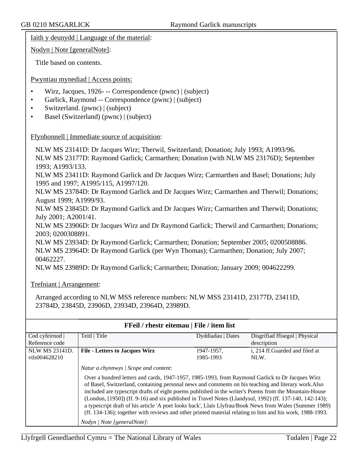Iaith y deunydd | Language of the material:

Nodyn | Note [generalNote]:

Title based on contents.

#### Pwyntiau mynediad | Access points:

- Wirz, Jacques, 1926 -- Correspondence (pwnc) | (subject)
- Garlick, Raymond -- Correspondence (pwnc) | (subject)
- Switzerland. (pwnc) | (subject)
- Basel (Switzerland) (pwnc) | (subject)

#### Ffynhonnell | Immediate source of acquisition:

NLW MS 23141D: Dr Jacques Wirz; Therwil, Switzerland; Donation; July 1993; A1993/96. NLW MS 23177D: Raymond Garlick; Carmarthen; Donation (with NLW MS 23176D); September 1993; A1993/133.

NLW MS 23411D: Raymond Garlick and Dr Jacques Wirz; Carmarthen and Basel; Donations; July 1995 and 1997; A1995/115, A1997/120.

NLW MS 23784D: Dr Raymond Garlick and Dr Jacques Wirz; Carmarthen and Therwil; Donations; August 1999; A1999/93.

NLW MS 23845D: Dr Raymond Garlick and Dr Jacques Wirz; Carmarthen and Therwil; Donations; July 2001; A2001/41.

NLW MS 23906D: Dr Jacques Wirz and Dr Raymond Garlick; Therwil and Carmarthen; Donations; 2003; 0200308891.

NLW MS 23934D: Dr Raymond Garlick; Carmarthen; Donation; September 2005; 0200508886. NLW MS 23964D: Dr Raymond Garlick (per Wyn Thomas); Carmarthen; Donation; July 2007; 00462227.

NLW MS 23989D: Dr Raymond Garlick; Carmarthen; Donation; January 2009; 004622299.

#### Trefniant | Arrangement:

Arranged according to NLW MSS reference numbers: NLW MSS 23141D, 23177D, 23411D, 23784D, 23845D, 23906D, 23934D, 23964D, 23989D.

| <b>FFeil</b> / rhestr eitemau   File / item list |                                                                                                                                                                                                                                                                                                                                                                                                                                                                                                                                                                                                                                                                                                                            |                   |                                 |
|--------------------------------------------------|----------------------------------------------------------------------------------------------------------------------------------------------------------------------------------------------------------------------------------------------------------------------------------------------------------------------------------------------------------------------------------------------------------------------------------------------------------------------------------------------------------------------------------------------------------------------------------------------------------------------------------------------------------------------------------------------------------------------------|-------------------|---------------------------------|
| Cod cyfeirnod                                    | Teitl   Title                                                                                                                                                                                                                                                                                                                                                                                                                                                                                                                                                                                                                                                                                                              | Dyddiadau   Dates | Disgrifiad ffisegol   Physical  |
| Reference code                                   |                                                                                                                                                                                                                                                                                                                                                                                                                                                                                                                                                                                                                                                                                                                            |                   | description                     |
| <b>NLW MS 23141D.</b>                            | <b>File - Letters to Jacques Wirz</b>                                                                                                                                                                                                                                                                                                                                                                                                                                                                                                                                                                                                                                                                                      | 1947-1957,        | i. 214 ff. Guarded and filed at |
| vtls004628210                                    |                                                                                                                                                                                                                                                                                                                                                                                                                                                                                                                                                                                                                                                                                                                            | 1985-1993         | NLW.                            |
|                                                  | Natur a chynnwys   Scope and content:<br>Over a hundred letters and cards, 1947-1957, 1985-1993, from Raymond Garlick to Dr Jacques Wirz<br>of Basel, Switzerland, containing personal news and comments on his teaching and literary work. Also<br>included are typescript drafts of eight poems published in the writer's Poems from the Mountain-House<br>(London, [1950]) (ff. 9-16) and six published in Travel Notes (Llandysul, 1992) (ff. 137-140, 142-143);<br>a typescript draft of his article 'A poet looks back', Llais Llyfrau/Book News from Wales (Summer 1989)<br>(ff. 134-136); together with reviews and other printed material relating to him and his work, 1988-1993.<br>Nodyn / Note [generalNote]: |                   |                                 |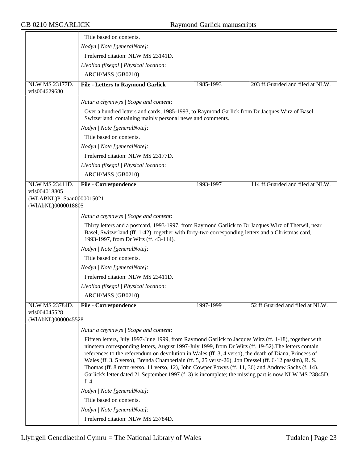|                                                                 | Title based on contents.                                                                                                                                                                                                                                                                                                                                                                                                                                                                                                                                                                                                                               |           |                                  |
|-----------------------------------------------------------------|--------------------------------------------------------------------------------------------------------------------------------------------------------------------------------------------------------------------------------------------------------------------------------------------------------------------------------------------------------------------------------------------------------------------------------------------------------------------------------------------------------------------------------------------------------------------------------------------------------------------------------------------------------|-----------|----------------------------------|
|                                                                 | Nodyn   Note [generalNote]:                                                                                                                                                                                                                                                                                                                                                                                                                                                                                                                                                                                                                            |           |                                  |
|                                                                 | Preferred citation: NLW MS 23141D.                                                                                                                                                                                                                                                                                                                                                                                                                                                                                                                                                                                                                     |           |                                  |
|                                                                 | Lleoliad ffisegol   Physical location:                                                                                                                                                                                                                                                                                                                                                                                                                                                                                                                                                                                                                 |           |                                  |
|                                                                 | ARCH/MSS (GB0210)                                                                                                                                                                                                                                                                                                                                                                                                                                                                                                                                                                                                                                      |           |                                  |
| NLW MS 23177D.                                                  | <b>File - Letters to Raymond Garlick</b>                                                                                                                                                                                                                                                                                                                                                                                                                                                                                                                                                                                                               | 1985-1993 | 203 ff.Guarded and filed at NLW. |
| vtls004629680                                                   |                                                                                                                                                                                                                                                                                                                                                                                                                                                                                                                                                                                                                                                        |           |                                  |
|                                                                 | Natur a chynnwys / Scope and content:                                                                                                                                                                                                                                                                                                                                                                                                                                                                                                                                                                                                                  |           |                                  |
|                                                                 | Over a hundred letters and cards, 1985-1993, to Raymond Garlick from Dr Jacques Wirz of Basel,<br>Switzerland, containing mainly personal news and comments.                                                                                                                                                                                                                                                                                                                                                                                                                                                                                           |           |                                  |
|                                                                 | Nodyn   Note [generalNote]:                                                                                                                                                                                                                                                                                                                                                                                                                                                                                                                                                                                                                            |           |                                  |
|                                                                 | Title based on contents.                                                                                                                                                                                                                                                                                                                                                                                                                                                                                                                                                                                                                               |           |                                  |
|                                                                 | Nodyn   Note [generalNote]:                                                                                                                                                                                                                                                                                                                                                                                                                                                                                                                                                                                                                            |           |                                  |
|                                                                 | Preferred citation: NLW MS 23177D.                                                                                                                                                                                                                                                                                                                                                                                                                                                                                                                                                                                                                     |           |                                  |
|                                                                 | Lleoliad ffisegol   Physical location:                                                                                                                                                                                                                                                                                                                                                                                                                                                                                                                                                                                                                 |           |                                  |
|                                                                 | ARCH/MSS (GB0210)                                                                                                                                                                                                                                                                                                                                                                                                                                                                                                                                                                                                                                      |           |                                  |
| <b>NLW MS 23411D.</b>                                           | <b>File - Correspondence</b>                                                                                                                                                                                                                                                                                                                                                                                                                                                                                                                                                                                                                           | 1993-1997 | 114 ff.Guarded and filed at NLW. |
| vtls004018805<br>(WLABNL)P1Saan0000015021<br>(WIAbNL)0000018805 |                                                                                                                                                                                                                                                                                                                                                                                                                                                                                                                                                                                                                                                        |           |                                  |
|                                                                 | Natur a chynnwys / Scope and content:                                                                                                                                                                                                                                                                                                                                                                                                                                                                                                                                                                                                                  |           |                                  |
|                                                                 | Thirty letters and a postcard, 1993-1997, from Raymond Garlick to Dr Jacques Wirz of Therwil, near<br>Basel, Switzerland (ff. 1-42), together with forty-two corresponding letters and a Christmas card,<br>1993-1997, from Dr Wirz (ff. 43-114).                                                                                                                                                                                                                                                                                                                                                                                                      |           |                                  |
|                                                                 | Nodyn   Note [generalNote]:                                                                                                                                                                                                                                                                                                                                                                                                                                                                                                                                                                                                                            |           |                                  |
|                                                                 | Title based on contents.                                                                                                                                                                                                                                                                                                                                                                                                                                                                                                                                                                                                                               |           |                                  |
|                                                                 | Nodyn   Note [generalNote]:                                                                                                                                                                                                                                                                                                                                                                                                                                                                                                                                                                                                                            |           |                                  |
|                                                                 | Preferred citation: NLW MS 23411D.                                                                                                                                                                                                                                                                                                                                                                                                                                                                                                                                                                                                                     |           |                                  |
|                                                                 | Lleoliad ffisegol   Physical location:                                                                                                                                                                                                                                                                                                                                                                                                                                                                                                                                                                                                                 |           |                                  |
|                                                                 | ARCH/MSS (GB0210)                                                                                                                                                                                                                                                                                                                                                                                                                                                                                                                                                                                                                                      |           |                                  |
| NLW MS 23784D.                                                  | <b>File - Correspondence</b>                                                                                                                                                                                                                                                                                                                                                                                                                                                                                                                                                                                                                           | 1997-1999 | 52 ff.Guarded and filed at NLW.  |
| vtls004045528                                                   |                                                                                                                                                                                                                                                                                                                                                                                                                                                                                                                                                                                                                                                        |           |                                  |
| (WIAbNL)0000045528                                              |                                                                                                                                                                                                                                                                                                                                                                                                                                                                                                                                                                                                                                                        |           |                                  |
|                                                                 | Natur a chynnwys / Scope and content:                                                                                                                                                                                                                                                                                                                                                                                                                                                                                                                                                                                                                  |           |                                  |
|                                                                 | Fifteen letters, July 1997-June 1999, from Raymond Garlick to Jacques Wirz (ff. 1-18), together with<br>nineteen corresponding letters, August 1997-July 1999, from Dr Wirz (ff. 19-52). The letters contain<br>references to the referendum on devolution in Wales (ff. 3, 4 verso), the death of Diana, Princess of<br>Wales (ff. 3, 5 verso), Brenda Chamberlain (ff. 5, 25 verso-26), Jon Dressel (ff. 6-12 passim), R. S.<br>Thomas (ff. 8 recto-verso, 11 verso, 12), John Cowper Powys (ff. 11, 36) and Andrew Sachs (f. 14).<br>Garlick's letter dated 21 September 1997 (f. 3) is incomplete; the missing part is now NLW MS 23845D,<br>f. 4. |           |                                  |
|                                                                 | Nodyn   Note [generalNote]:                                                                                                                                                                                                                                                                                                                                                                                                                                                                                                                                                                                                                            |           |                                  |
|                                                                 | Title based on contents.                                                                                                                                                                                                                                                                                                                                                                                                                                                                                                                                                                                                                               |           |                                  |
|                                                                 | Nodyn   Note [generalNote]:                                                                                                                                                                                                                                                                                                                                                                                                                                                                                                                                                                                                                            |           |                                  |
|                                                                 | Preferred citation: NLW MS 23784D.                                                                                                                                                                                                                                                                                                                                                                                                                                                                                                                                                                                                                     |           |                                  |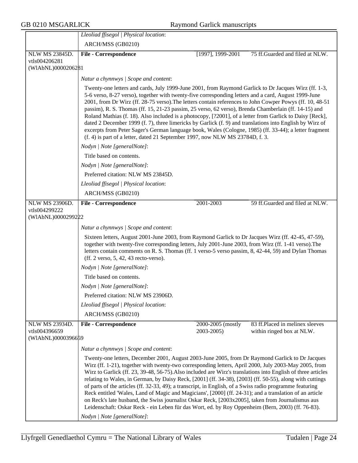|                                        | Lleoliad ffisegol   Physical location:                                                                                                                                                                                                                                                                                                                                                                                                                                                                                                                                                                                                                                                                                                                                                                                                                                                               |                                 |                                                              |
|----------------------------------------|------------------------------------------------------------------------------------------------------------------------------------------------------------------------------------------------------------------------------------------------------------------------------------------------------------------------------------------------------------------------------------------------------------------------------------------------------------------------------------------------------------------------------------------------------------------------------------------------------------------------------------------------------------------------------------------------------------------------------------------------------------------------------------------------------------------------------------------------------------------------------------------------------|---------------------------------|--------------------------------------------------------------|
|                                        | ARCH/MSS (GB0210)                                                                                                                                                                                                                                                                                                                                                                                                                                                                                                                                                                                                                                                                                                                                                                                                                                                                                    |                                 |                                                              |
| <b>NLW MS 23845D.</b>                  | <b>File - Correspondence</b>                                                                                                                                                                                                                                                                                                                                                                                                                                                                                                                                                                                                                                                                                                                                                                                                                                                                         | [1997], 1999-2001]              | 75 ff.Guarded and filed at NLW.                              |
| vtls004206281                          |                                                                                                                                                                                                                                                                                                                                                                                                                                                                                                                                                                                                                                                                                                                                                                                                                                                                                                      |                                 |                                                              |
| (WIAbNL)0000206281                     |                                                                                                                                                                                                                                                                                                                                                                                                                                                                                                                                                                                                                                                                                                                                                                                                                                                                                                      |                                 |                                                              |
|                                        | Natur a chynnwys / Scope and content:                                                                                                                                                                                                                                                                                                                                                                                                                                                                                                                                                                                                                                                                                                                                                                                                                                                                |                                 |                                                              |
|                                        | Twenty-one letters and cards, July 1999-June 2001, from Raymond Garlick to Dr Jacques Wirz (ff. 1-3,<br>5-6 verso, 8-27 verso), together with twenty-five corresponding letters and a card, August 1999-June<br>2001, from Dr Wirz (ff. 28-75 verso). The letters contain references to John Cowper Powys (ff. 10, 48-51<br>passim), R. S. Thomas (ff. 15, 21-23 passim, 25 verso, 62 verso), Brenda Chamberlain (ff. 14-15) and<br>Roland Mathias (f. 18). Also included is a photocopy, [?2001], of a letter from Garlick to Daisy [Reck],<br>dated 2 December 1999 (f. 7), three limericks by Garlick (f. 9) and translations into English by Wirz of<br>excerpts from Peter Sager's German language book, Wales (Cologne, 1985) (ff. 33-44); a letter fragment<br>(f. 4) is part of a letter, dated 21 September 1997, now NLW MS 23784D, f. 3.                                                  |                                 |                                                              |
|                                        | Nodyn   Note [generalNote]:                                                                                                                                                                                                                                                                                                                                                                                                                                                                                                                                                                                                                                                                                                                                                                                                                                                                          |                                 |                                                              |
|                                        | Title based on contents.                                                                                                                                                                                                                                                                                                                                                                                                                                                                                                                                                                                                                                                                                                                                                                                                                                                                             |                                 |                                                              |
|                                        | Nodyn   Note [generalNote]:                                                                                                                                                                                                                                                                                                                                                                                                                                                                                                                                                                                                                                                                                                                                                                                                                                                                          |                                 |                                                              |
|                                        | Preferred citation: NLW MS 23845D.                                                                                                                                                                                                                                                                                                                                                                                                                                                                                                                                                                                                                                                                                                                                                                                                                                                                   |                                 |                                                              |
|                                        | Lleoliad ffisegol   Physical location:                                                                                                                                                                                                                                                                                                                                                                                                                                                                                                                                                                                                                                                                                                                                                                                                                                                               |                                 |                                                              |
|                                        | ARCH/MSS (GB0210)                                                                                                                                                                                                                                                                                                                                                                                                                                                                                                                                                                                                                                                                                                                                                                                                                                                                                    |                                 |                                                              |
| <b>NLW MS 23906D.</b>                  | <b>File - Correspondence</b>                                                                                                                                                                                                                                                                                                                                                                                                                                                                                                                                                                                                                                                                                                                                                                                                                                                                         | 2001-2003                       | 59 ff.Guarded and filed at NLW.                              |
| vtls004299222                          |                                                                                                                                                                                                                                                                                                                                                                                                                                                                                                                                                                                                                                                                                                                                                                                                                                                                                                      |                                 |                                                              |
| (WIAbNL)0000299222                     |                                                                                                                                                                                                                                                                                                                                                                                                                                                                                                                                                                                                                                                                                                                                                                                                                                                                                                      |                                 |                                                              |
|                                        | Natur a chynnwys / Scope and content:                                                                                                                                                                                                                                                                                                                                                                                                                                                                                                                                                                                                                                                                                                                                                                                                                                                                |                                 |                                                              |
|                                        | Sixteen letters, August 2001-June 2003, from Raymond Garlick to Dr Jacques Wirz (ff. 42-45, 47-59),<br>together with twenty-five corresponding letters, July 2001-June 2003, from Wirz (ff. 1-41 verso). The<br>letters contain comments on R. S. Thomas (ff. 1 verso-5 verso passim, 8, 42-44, 59) and Dylan Thomas<br>(ff. 2 verso, 5, 42, 43 recto-verso).                                                                                                                                                                                                                                                                                                                                                                                                                                                                                                                                        |                                 |                                                              |
|                                        | Nodyn   Note [generalNote]:                                                                                                                                                                                                                                                                                                                                                                                                                                                                                                                                                                                                                                                                                                                                                                                                                                                                          |                                 |                                                              |
|                                        | Title based on contents.                                                                                                                                                                                                                                                                                                                                                                                                                                                                                                                                                                                                                                                                                                                                                                                                                                                                             |                                 |                                                              |
|                                        | Nodyn   Note [generalNote]:                                                                                                                                                                                                                                                                                                                                                                                                                                                                                                                                                                                                                                                                                                                                                                                                                                                                          |                                 |                                                              |
|                                        | Preferred citation: NLW MS 23906D.                                                                                                                                                                                                                                                                                                                                                                                                                                                                                                                                                                                                                                                                                                                                                                                                                                                                   |                                 |                                                              |
|                                        | Lleoliad ffisegol   Physical location:                                                                                                                                                                                                                                                                                                                                                                                                                                                                                                                                                                                                                                                                                                                                                                                                                                                               |                                 |                                                              |
|                                        | ARCH/MSS (GB0210)                                                                                                                                                                                                                                                                                                                                                                                                                                                                                                                                                                                                                                                                                                                                                                                                                                                                                    |                                 |                                                              |
| <b>NLW MS 23934D.</b><br>vtls004396659 | <b>File - Correspondence</b>                                                                                                                                                                                                                                                                                                                                                                                                                                                                                                                                                                                                                                                                                                                                                                                                                                                                         | 2000-2005 (mostly<br>2003-2005) | 83 ff.Placed in melinex sleeves<br>within ringed box at NLW. |
| (WIAbNL)0000396659                     |                                                                                                                                                                                                                                                                                                                                                                                                                                                                                                                                                                                                                                                                                                                                                                                                                                                                                                      |                                 |                                                              |
|                                        | Natur a chynnwys / Scope and content:                                                                                                                                                                                                                                                                                                                                                                                                                                                                                                                                                                                                                                                                                                                                                                                                                                                                |                                 |                                                              |
|                                        | Twenty-one letters, December 2001, August 2003-June 2005, from Dr Raymond Garlick to Dr Jacques<br>Wirz (ff. 1-21), together with twenty-two corresponding letters, April 2000, July 2003-May 2005, from<br>Wirz to Garlick (ff. 23, 39-48, 56-75). Also included are Wirz's translations into English of three articles<br>relating to Wales, in German, by Daisy Reck, [2001] (ff. 34-38), [2003] (ff. 50-55), along with cuttings<br>of parts of the articles (ff. 32-33, 49); a transcript, in English, of a Swiss radio programme featuring<br>Reck entitled 'Wales, Land of Magic and Magicians', [2000] (ff. 24-31); and a translation of an article<br>on Reck's late husband, the Swiss journalist Oskar Reck, [2003x2005], taken from Journalismus aus<br>Leidenschaft: Oskar Reck - ein Leben für das Wort, ed. by Roy Oppenheim (Bern, 2003) (ff. 76-83).<br>Nodyn   Note [generalNote]: |                                 |                                                              |
|                                        |                                                                                                                                                                                                                                                                                                                                                                                                                                                                                                                                                                                                                                                                                                                                                                                                                                                                                                      |                                 |                                                              |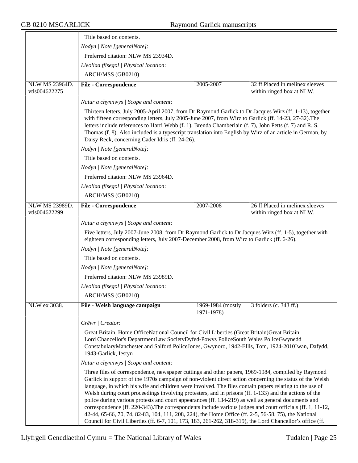|                                        | Title based on contents.                                                                                                                                                                                                                                                                                                                                                                                                                                                                                                                                                                                                                                                                                                                                                                                                                                                      |                                 |                                                              |
|----------------------------------------|-------------------------------------------------------------------------------------------------------------------------------------------------------------------------------------------------------------------------------------------------------------------------------------------------------------------------------------------------------------------------------------------------------------------------------------------------------------------------------------------------------------------------------------------------------------------------------------------------------------------------------------------------------------------------------------------------------------------------------------------------------------------------------------------------------------------------------------------------------------------------------|---------------------------------|--------------------------------------------------------------|
|                                        | Nodyn   Note [generalNote]:                                                                                                                                                                                                                                                                                                                                                                                                                                                                                                                                                                                                                                                                                                                                                                                                                                                   |                                 |                                                              |
|                                        | Preferred citation: NLW MS 23934D.                                                                                                                                                                                                                                                                                                                                                                                                                                                                                                                                                                                                                                                                                                                                                                                                                                            |                                 |                                                              |
|                                        | Lleoliad ffisegol   Physical location:                                                                                                                                                                                                                                                                                                                                                                                                                                                                                                                                                                                                                                                                                                                                                                                                                                        |                                 |                                                              |
|                                        | ARCH/MSS (GB0210)                                                                                                                                                                                                                                                                                                                                                                                                                                                                                                                                                                                                                                                                                                                                                                                                                                                             |                                 |                                                              |
| NLW MS 23964D.                         | <b>File - Correspondence</b>                                                                                                                                                                                                                                                                                                                                                                                                                                                                                                                                                                                                                                                                                                                                                                                                                                                  | 2005-2007                       | 32 ff.Placed in melinex sleeves                              |
| vtls004622275                          |                                                                                                                                                                                                                                                                                                                                                                                                                                                                                                                                                                                                                                                                                                                                                                                                                                                                               |                                 | within ringed box at NLW.                                    |
|                                        | Natur a chynnwys / Scope and content:                                                                                                                                                                                                                                                                                                                                                                                                                                                                                                                                                                                                                                                                                                                                                                                                                                         |                                 |                                                              |
|                                        | Thirteen letters, July 2005-April 2007, from Dr Raymond Garlick to Dr Jacques Wirz (ff. 1-13), together<br>with fifteen corresponding letters, July 2005-June 2007, from Wirz to Garlick (ff. 14-23, 27-32). The<br>letters include references to Harri Webb (f. 1), Brenda Chamberlain (f. 7), John Petts (f. 7) and R. S.<br>Thomas (f. 8). Also included is a typescript translation into English by Wirz of an article in German, by<br>Daisy Reck, concerning Cader Idris (ff. 24-26).                                                                                                                                                                                                                                                                                                                                                                                   |                                 |                                                              |
|                                        | Nodyn   Note [generalNote]:                                                                                                                                                                                                                                                                                                                                                                                                                                                                                                                                                                                                                                                                                                                                                                                                                                                   |                                 |                                                              |
|                                        | Title based on contents.                                                                                                                                                                                                                                                                                                                                                                                                                                                                                                                                                                                                                                                                                                                                                                                                                                                      |                                 |                                                              |
|                                        | Nodyn   Note [generalNote]:                                                                                                                                                                                                                                                                                                                                                                                                                                                                                                                                                                                                                                                                                                                                                                                                                                                   |                                 |                                                              |
|                                        | Preferred citation: NLW MS 23964D.                                                                                                                                                                                                                                                                                                                                                                                                                                                                                                                                                                                                                                                                                                                                                                                                                                            |                                 |                                                              |
|                                        | Lleoliad ffisegol   Physical location:                                                                                                                                                                                                                                                                                                                                                                                                                                                                                                                                                                                                                                                                                                                                                                                                                                        |                                 |                                                              |
|                                        | ARCH/MSS (GB0210)                                                                                                                                                                                                                                                                                                                                                                                                                                                                                                                                                                                                                                                                                                                                                                                                                                                             |                                 |                                                              |
| <b>NLW MS 23989D.</b><br>vtls004622299 | <b>File - Correspondence</b>                                                                                                                                                                                                                                                                                                                                                                                                                                                                                                                                                                                                                                                                                                                                                                                                                                                  | 2007-2008                       | 26 ff.Placed in melinex sleeves<br>within ringed box at NLW. |
|                                        | Natur a chynnwys / Scope and content:                                                                                                                                                                                                                                                                                                                                                                                                                                                                                                                                                                                                                                                                                                                                                                                                                                         |                                 |                                                              |
|                                        | Five letters, July 2007-June 2008, from Dr Raymond Garlick to Dr Jacques Wirz (ff. 1-5), together with<br>eighteen corresponding letters, July 2007-December 2008, from Wirz to Garlick (ff. 6-26).                                                                                                                                                                                                                                                                                                                                                                                                                                                                                                                                                                                                                                                                           |                                 |                                                              |
|                                        | Nodyn   Note [generalNote]:                                                                                                                                                                                                                                                                                                                                                                                                                                                                                                                                                                                                                                                                                                                                                                                                                                                   |                                 |                                                              |
|                                        | Title based on contents.                                                                                                                                                                                                                                                                                                                                                                                                                                                                                                                                                                                                                                                                                                                                                                                                                                                      |                                 |                                                              |
|                                        | Nodyn   Note [generalNote]:                                                                                                                                                                                                                                                                                                                                                                                                                                                                                                                                                                                                                                                                                                                                                                                                                                                   |                                 |                                                              |
|                                        | Preferred citation: NLW MS 23989D.                                                                                                                                                                                                                                                                                                                                                                                                                                                                                                                                                                                                                                                                                                                                                                                                                                            |                                 |                                                              |
|                                        | Lleoliad ffisegol   Physical location:                                                                                                                                                                                                                                                                                                                                                                                                                                                                                                                                                                                                                                                                                                                                                                                                                                        |                                 |                                                              |
|                                        | ARCH/MSS (GB0210)                                                                                                                                                                                                                                                                                                                                                                                                                                                                                                                                                                                                                                                                                                                                                                                                                                                             |                                 |                                                              |
| NLW ex 3038.                           | File - Welsh language campaign                                                                                                                                                                                                                                                                                                                                                                                                                                                                                                                                                                                                                                                                                                                                                                                                                                                | 1969-1984 (mostly<br>1971-1978) | 3 folders (c. 343 ff.)                                       |
|                                        | Crëwr   Creator:                                                                                                                                                                                                                                                                                                                                                                                                                                                                                                                                                                                                                                                                                                                                                                                                                                                              |                                 |                                                              |
|                                        | Great Britain. Home OfficeNational Council for Civil Liberties (Great Britain) Great Britain.<br>Lord Chancellor's DepartmentLaw SocietyDyfed-Powys PoliceSouth Wales PoliceGwynedd<br>ConstabularyManchester and Salford PoliceJones, Gwynoro, 1942-Ellis, Tom, 1924-2010Iwan, Dafydd,<br>1943-Garlick, Iestyn                                                                                                                                                                                                                                                                                                                                                                                                                                                                                                                                                               |                                 |                                                              |
|                                        | Natur a chynnwys / Scope and content:                                                                                                                                                                                                                                                                                                                                                                                                                                                                                                                                                                                                                                                                                                                                                                                                                                         |                                 |                                                              |
|                                        | Three files of correspondence, newspaper cuttings and other papers, 1969-1984, compiled by Raymond<br>Garlick in support of the 1970s campaign of non-violent direct action concerning the status of the Welsh<br>language, in which his wife and children were involved. The files contain papers relating to the use of<br>Welsh during court proceedings involving protesters, and in prisons (ff. 1-133) and the actions of the<br>police during various protests and court appearances (ff. 134-219) as well as general documents and<br>correspondence (ff. 220-343). The correspondents include various judges and court officials (ff. 1, 11-12,<br>42-44, 65-66, 70, 74, 82-83, 104, 111, 208, 224), the Home Office (ff. 2-5, 56-58, 75), the National<br>Council for Civil Liberties (ff. 6-7, 101, 173, 183, 261-262, 318-319), the Lord Chancellor's office (ff. |                                 |                                                              |